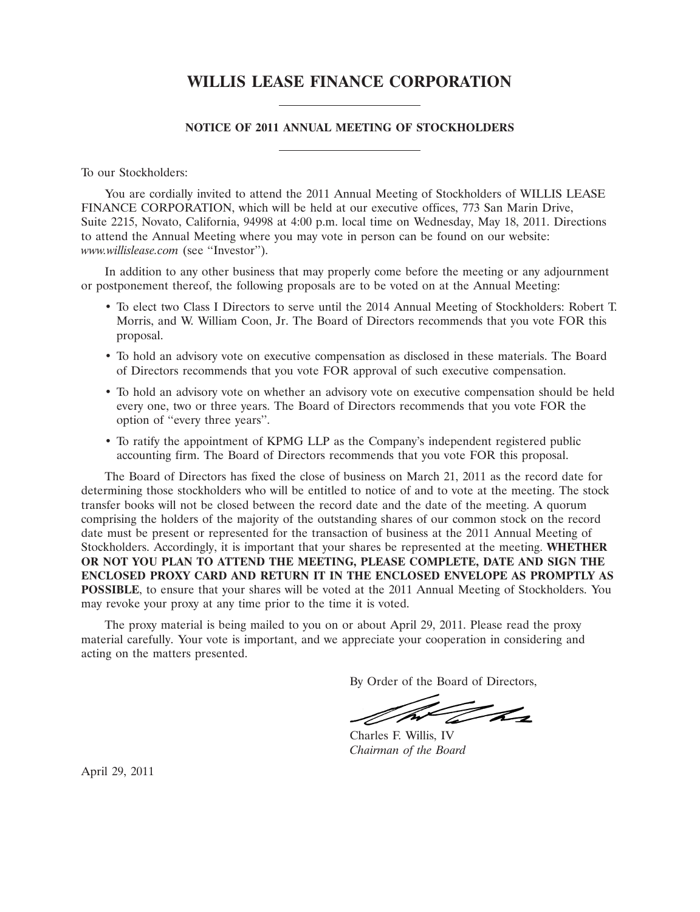# **WILLIS LEASE FINANCE CORPORATION**

# **NOTICE OF 2011 ANNUAL MEETING OF STOCKHOLDERS**

To our Stockholders:

You are cordially invited to attend the 2011 Annual Meeting of Stockholders of WILLIS LEASE FINANCE CORPORATION, which will be held at our executive offices, 773 San Marin Drive, Suite 2215, Novato, California, 94998 at 4:00 p.m. local time on Wednesday, May 18, 2011. Directions to attend the Annual Meeting where you may vote in person can be found on our website: *www.willislease.com* (see ''Investor'').

In addition to any other business that may properly come before the meeting or any adjournment or postponement thereof, the following proposals are to be voted on at the Annual Meeting:

- To elect two Class I Directors to serve until the 2014 Annual Meeting of Stockholders: Robert T. Morris, and W. William Coon, Jr. The Board of Directors recommends that you vote FOR this proposal.
- To hold an advisory vote on executive compensation as disclosed in these materials. The Board of Directors recommends that you vote FOR approval of such executive compensation.
- To hold an advisory vote on whether an advisory vote on executive compensation should be held every one, two or three years. The Board of Directors recommends that you vote FOR the option of ''every three years''.
- To ratify the appointment of KPMG LLP as the Company's independent registered public accounting firm. The Board of Directors recommends that you vote FOR this proposal.

The Board of Directors has fixed the close of business on March 21, 2011 as the record date for determining those stockholders who will be entitled to notice of and to vote at the meeting. The stock transfer books will not be closed between the record date and the date of the meeting. A quorum comprising the holders of the majority of the outstanding shares of our common stock on the record date must be present or represented for the transaction of business at the 2011 Annual Meeting of Stockholders. Accordingly, it is important that your shares be represented at the meeting. **WHETHER OR NOT YOU PLAN TO ATTEND THE MEETING, PLEASE COMPLETE, DATE AND SIGN THE ENCLOSED PROXY CARD AND RETURN IT IN THE ENCLOSED ENVELOPE AS PROMPTLY AS POSSIBLE**, to ensure that your shares will be voted at the 2011 Annual Meeting of Stockholders. You may revoke your proxy at any time prior to the time it is voted.

The proxy material is being mailed to you on or about April 29, 2011. Please read the proxy material carefully. Your vote is important, and we appreciate your cooperation in considering and acting on the matters presented.

By Order of the Board of Directors,

The

Charles F. Willis, IV *Chairman of the Board*

April 29, 2011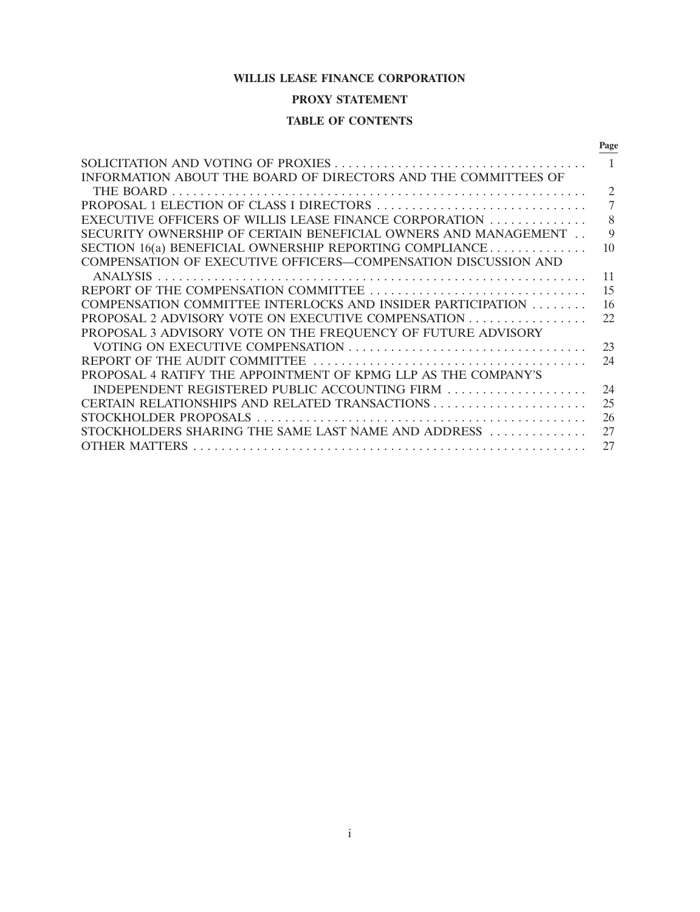# **WILLIS LEASE FINANCE CORPORATION**

# **PROXY STATEMENT**

# **TABLE OF CONTENTS**

|                                                                | Page           |
|----------------------------------------------------------------|----------------|
|                                                                |                |
| INFORMATION ABOUT THE BOARD OF DIRECTORS AND THE COMMITTEES OF |                |
| THE BOARD                                                      | $\overline{c}$ |
| PROPOSAL 1 ELECTION OF CLASS I DIRECTORS                       | 7              |
| EXECUTIVE OFFICERS OF WILLIS LEASE FINANCE CORPORATION         | 8              |
| SECURITY OWNERSHIP OF CERTAIN BENEFICIAL OWNERS AND MANAGEMENT | 9              |
| SECTION $16(a)$ BENEFICIAL OWNERSHIP REPORTING COMPLIANCE      | 10             |
| COMPENSATION OF EXECUTIVE OFFICERS-COMPENSATION DISCUSSION AND |                |
| <b>ANALYSIS</b>                                                | 11             |
|                                                                | 15             |
| COMPENSATION COMMITTEE INTERLOCKS AND INSIDER PARTICIPATION    | 16             |
| PROPOSAL 2 ADVISORY VOTE ON EXECUTIVE COMPENSATION             | 22             |
| PROPOSAL 3 ADVISORY VOTE ON THE FREQUENCY OF FUTURE ADVISORY   |                |
|                                                                | 23             |
| REPORT OF THE AUDIT COMMITTEE                                  | 24             |
| PROPOSAL 4 RATIFY THE APPOINTMENT OF KPMG LLP AS THE COMPANY'S |                |
| INDEPENDENT REGISTERED PUBLIC ACCOUNTING FIRM                  | 24             |
|                                                                | 25             |
| STOCKHOLDER PROPOSALS                                          | 26             |
| STOCKHOLDERS SHARING THE SAME LAST NAME AND ADDRESS            | 27             |
| <b>OTHER MATTERS</b>                                           | 27             |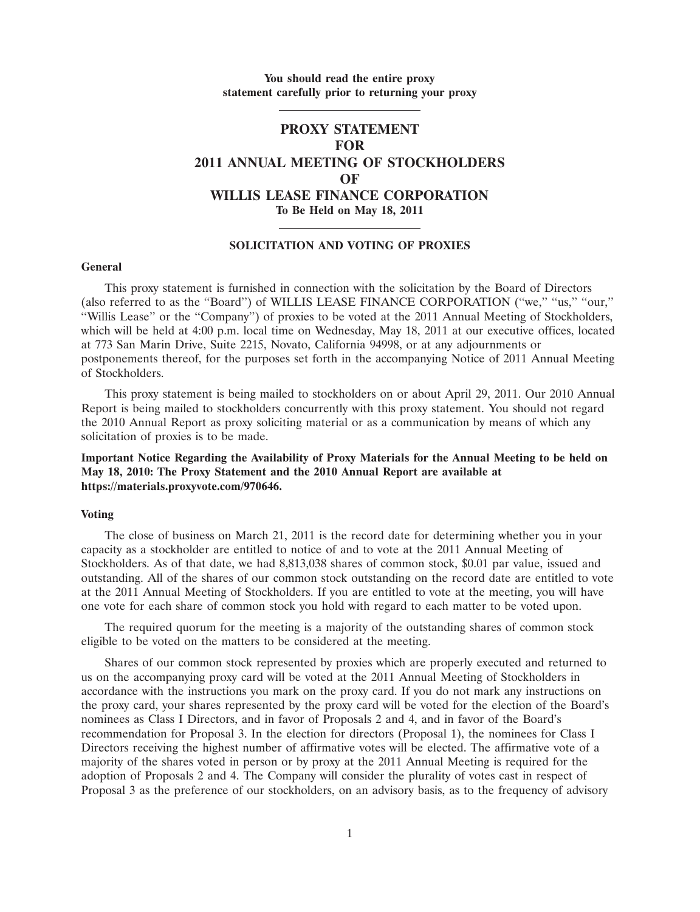# **You should read the entire proxy statement carefully prior to returning your proxy**

# **PROXY STATEMENT FOR 2011 ANNUAL MEETING OF STOCKHOLDERS OF WILLIS LEASE FINANCE CORPORATION To Be Held on May 18, 2011**

# **SOLICITATION AND VOTING OF PROXIES**

### **General**

This proxy statement is furnished in connection with the solicitation by the Board of Directors (also referred to as the ''Board'') of WILLIS LEASE FINANCE CORPORATION (''we,'' ''us,'' ''our,'' ''Willis Lease'' or the ''Company'') of proxies to be voted at the 2011 Annual Meeting of Stockholders, which will be held at 4:00 p.m. local time on Wednesday, May 18, 2011 at our executive offices, located at 773 San Marin Drive, Suite 2215, Novato, California 94998, or at any adjournments or postponements thereof, for the purposes set forth in the accompanying Notice of 2011 Annual Meeting of Stockholders.

This proxy statement is being mailed to stockholders on or about April 29, 2011. Our 2010 Annual Report is being mailed to stockholders concurrently with this proxy statement. You should not regard the 2010 Annual Report as proxy soliciting material or as a communication by means of which any solicitation of proxies is to be made.

# **Important Notice Regarding the Availability of Proxy Materials for the Annual Meeting to be held on May 18, 2010: The Proxy Statement and the 2010 Annual Report are available at https://materials.proxyvote.com/970646.**

#### **Voting**

The close of business on March 21, 2011 is the record date for determining whether you in your capacity as a stockholder are entitled to notice of and to vote at the 2011 Annual Meeting of Stockholders. As of that date, we had 8,813,038 shares of common stock, \$0.01 par value, issued and outstanding. All of the shares of our common stock outstanding on the record date are entitled to vote at the 2011 Annual Meeting of Stockholders. If you are entitled to vote at the meeting, you will have one vote for each share of common stock you hold with regard to each matter to be voted upon.

The required quorum for the meeting is a majority of the outstanding shares of common stock eligible to be voted on the matters to be considered at the meeting.

Shares of our common stock represented by proxies which are properly executed and returned to us on the accompanying proxy card will be voted at the 2011 Annual Meeting of Stockholders in accordance with the instructions you mark on the proxy card. If you do not mark any instructions on the proxy card, your shares represented by the proxy card will be voted for the election of the Board's nominees as Class I Directors, and in favor of Proposals 2 and 4, and in favor of the Board's recommendation for Proposal 3. In the election for directors (Proposal 1), the nominees for Class I Directors receiving the highest number of affirmative votes will be elected. The affirmative vote of a majority of the shares voted in person or by proxy at the 2011 Annual Meeting is required for the adoption of Proposals 2 and 4. The Company will consider the plurality of votes cast in respect of Proposal 3 as the preference of our stockholders, on an advisory basis, as to the frequency of advisory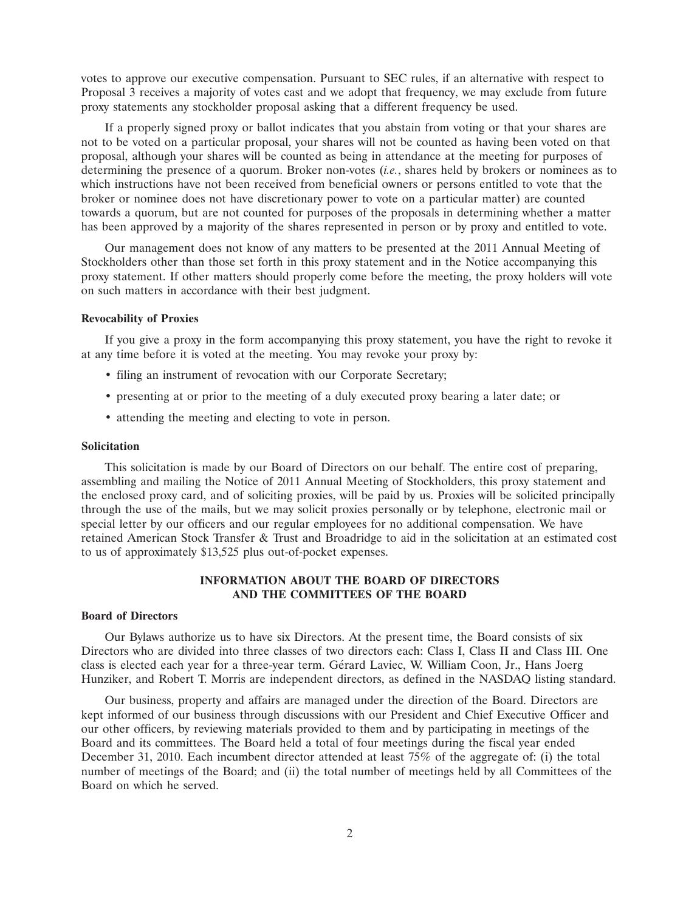votes to approve our executive compensation. Pursuant to SEC rules, if an alternative with respect to Proposal 3 receives a majority of votes cast and we adopt that frequency, we may exclude from future proxy statements any stockholder proposal asking that a different frequency be used.

If a properly signed proxy or ballot indicates that you abstain from voting or that your shares are not to be voted on a particular proposal, your shares will not be counted as having been voted on that proposal, although your shares will be counted as being in attendance at the meeting for purposes of determining the presence of a quorum. Broker non-votes (*i.e.*, shares held by brokers or nominees as to which instructions have not been received from beneficial owners or persons entitled to vote that the broker or nominee does not have discretionary power to vote on a particular matter) are counted towards a quorum, but are not counted for purposes of the proposals in determining whether a matter has been approved by a majority of the shares represented in person or by proxy and entitled to vote.

Our management does not know of any matters to be presented at the 2011 Annual Meeting of Stockholders other than those set forth in this proxy statement and in the Notice accompanying this proxy statement. If other matters should properly come before the meeting, the proxy holders will vote on such matters in accordance with their best judgment.

#### **Revocability of Proxies**

If you give a proxy in the form accompanying this proxy statement, you have the right to revoke it at any time before it is voted at the meeting. You may revoke your proxy by:

- filing an instrument of revocation with our Corporate Secretary;
- presenting at or prior to the meeting of a duly executed proxy bearing a later date; or
- attending the meeting and electing to vote in person.

# **Solicitation**

This solicitation is made by our Board of Directors on our behalf. The entire cost of preparing, assembling and mailing the Notice of 2011 Annual Meeting of Stockholders, this proxy statement and the enclosed proxy card, and of soliciting proxies, will be paid by us. Proxies will be solicited principally through the use of the mails, but we may solicit proxies personally or by telephone, electronic mail or special letter by our officers and our regular employees for no additional compensation. We have retained American Stock Transfer & Trust and Broadridge to aid in the solicitation at an estimated cost to us of approximately \$13,525 plus out-of-pocket expenses.

# **INFORMATION ABOUT THE BOARD OF DIRECTORS AND THE COMMITTEES OF THE BOARD**

# **Board of Directors**

Our Bylaws authorize us to have six Directors. At the present time, the Board consists of six Directors who are divided into three classes of two directors each: Class I, Class II and Class III. One class is elected each year for a three-year term. Gérard Laviec, W. William Coon, Jr., Hans Joerg Hunziker, and Robert T. Morris are independent directors, as defined in the NASDAQ listing standard.

Our business, property and affairs are managed under the direction of the Board. Directors are kept informed of our business through discussions with our President and Chief Executive Officer and our other officers, by reviewing materials provided to them and by participating in meetings of the Board and its committees. The Board held a total of four meetings during the fiscal year ended December 31, 2010. Each incumbent director attended at least 75% of the aggregate of: (i) the total number of meetings of the Board; and (ii) the total number of meetings held by all Committees of the Board on which he served.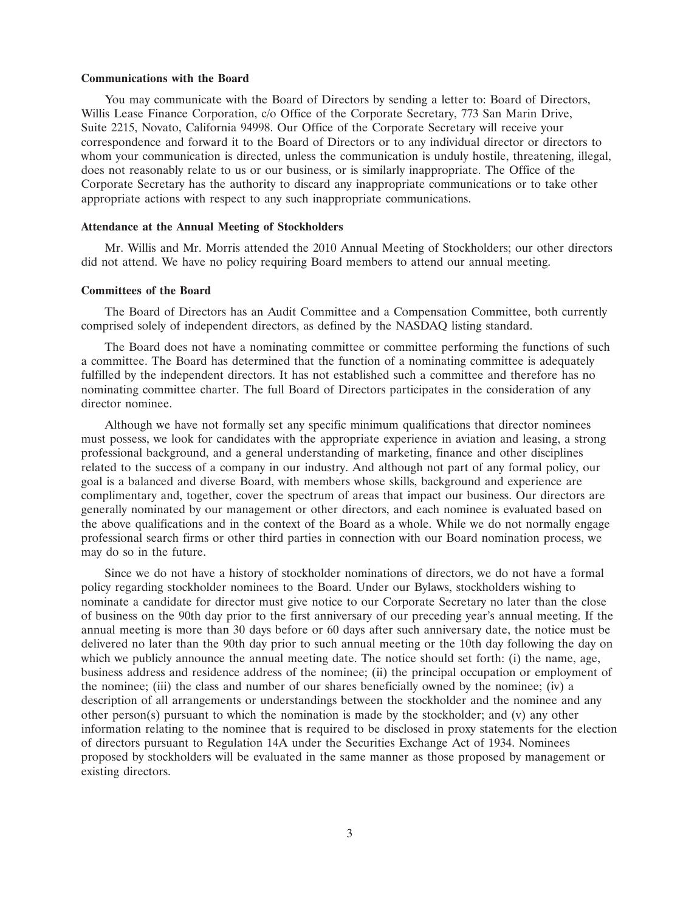#### **Communications with the Board**

You may communicate with the Board of Directors by sending a letter to: Board of Directors, Willis Lease Finance Corporation, c/o Office of the Corporate Secretary, 773 San Marin Drive, Suite 2215, Novato, California 94998. Our Office of the Corporate Secretary will receive your correspondence and forward it to the Board of Directors or to any individual director or directors to whom your communication is directed, unless the communication is unduly hostile, threatening, illegal, does not reasonably relate to us or our business, or is similarly inappropriate. The Office of the Corporate Secretary has the authority to discard any inappropriate communications or to take other appropriate actions with respect to any such inappropriate communications.

#### **Attendance at the Annual Meeting of Stockholders**

Mr. Willis and Mr. Morris attended the 2010 Annual Meeting of Stockholders; our other directors did not attend. We have no policy requiring Board members to attend our annual meeting.

### **Committees of the Board**

The Board of Directors has an Audit Committee and a Compensation Committee, both currently comprised solely of independent directors, as defined by the NASDAQ listing standard.

The Board does not have a nominating committee or committee performing the functions of such a committee. The Board has determined that the function of a nominating committee is adequately fulfilled by the independent directors. It has not established such a committee and therefore has no nominating committee charter. The full Board of Directors participates in the consideration of any director nominee.

Although we have not formally set any specific minimum qualifications that director nominees must possess, we look for candidates with the appropriate experience in aviation and leasing, a strong professional background, and a general understanding of marketing, finance and other disciplines related to the success of a company in our industry. And although not part of any formal policy, our goal is a balanced and diverse Board, with members whose skills, background and experience are complimentary and, together, cover the spectrum of areas that impact our business. Our directors are generally nominated by our management or other directors, and each nominee is evaluated based on the above qualifications and in the context of the Board as a whole. While we do not normally engage professional search firms or other third parties in connection with our Board nomination process, we may do so in the future.

Since we do not have a history of stockholder nominations of directors, we do not have a formal policy regarding stockholder nominees to the Board. Under our Bylaws, stockholders wishing to nominate a candidate for director must give notice to our Corporate Secretary no later than the close of business on the 90th day prior to the first anniversary of our preceding year's annual meeting. If the annual meeting is more than 30 days before or 60 days after such anniversary date, the notice must be delivered no later than the 90th day prior to such annual meeting or the 10th day following the day on which we publicly announce the annual meeting date. The notice should set forth: (i) the name, age, business address and residence address of the nominee; (ii) the principal occupation or employment of the nominee; (iii) the class and number of our shares beneficially owned by the nominee; (iv) a description of all arrangements or understandings between the stockholder and the nominee and any other person(s) pursuant to which the nomination is made by the stockholder; and (v) any other information relating to the nominee that is required to be disclosed in proxy statements for the election of directors pursuant to Regulation 14A under the Securities Exchange Act of 1934. Nominees proposed by stockholders will be evaluated in the same manner as those proposed by management or existing directors.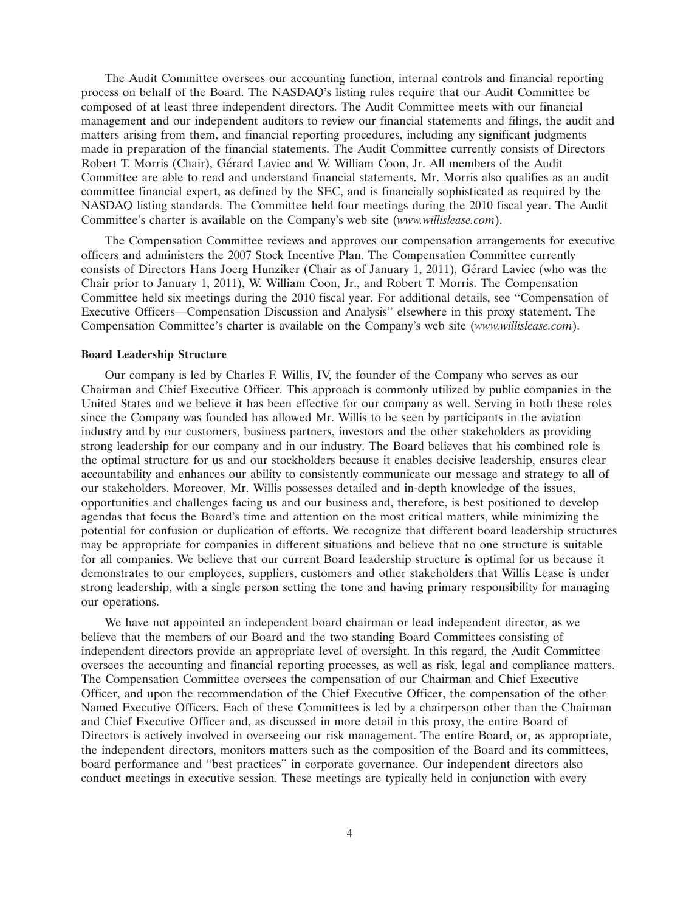The Audit Committee oversees our accounting function, internal controls and financial reporting process on behalf of the Board. The NASDAQ's listing rules require that our Audit Committee be composed of at least three independent directors. The Audit Committee meets with our financial management and our independent auditors to review our financial statements and filings, the audit and matters arising from them, and financial reporting procedures, including any significant judgments made in preparation of the financial statements. The Audit Committee currently consists of Directors Robert T. Morris (Chair), Gérard Laviec and W. William Coon, Jr. All members of the Audit Committee are able to read and understand financial statements. Mr. Morris also qualifies as an audit committee financial expert, as defined by the SEC, and is financially sophisticated as required by the NASDAQ listing standards. The Committee held four meetings during the 2010 fiscal year. The Audit Committee's charter is available on the Company's web site (*www.willislease.com*).

The Compensation Committee reviews and approves our compensation arrangements for executive officers and administers the 2007 Stock Incentive Plan. The Compensation Committee currently consists of Directors Hans Joerg Hunziker (Chair as of January 1, 2011), Gérard Laviec (who was the Chair prior to January 1, 2011), W. William Coon, Jr., and Robert T. Morris. The Compensation Committee held six meetings during the 2010 fiscal year. For additional details, see ''Compensation of Executive Officers—Compensation Discussion and Analysis'' elsewhere in this proxy statement. The Compensation Committee's charter is available on the Company's web site (*www.willislease.com*).

## **Board Leadership Structure**

Our company is led by Charles F. Willis, IV, the founder of the Company who serves as our Chairman and Chief Executive Officer. This approach is commonly utilized by public companies in the United States and we believe it has been effective for our company as well. Serving in both these roles since the Company was founded has allowed Mr. Willis to be seen by participants in the aviation industry and by our customers, business partners, investors and the other stakeholders as providing strong leadership for our company and in our industry. The Board believes that his combined role is the optimal structure for us and our stockholders because it enables decisive leadership, ensures clear accountability and enhances our ability to consistently communicate our message and strategy to all of our stakeholders. Moreover, Mr. Willis possesses detailed and in-depth knowledge of the issues, opportunities and challenges facing us and our business and, therefore, is best positioned to develop agendas that focus the Board's time and attention on the most critical matters, while minimizing the potential for confusion or duplication of efforts. We recognize that different board leadership structures may be appropriate for companies in different situations and believe that no one structure is suitable for all companies. We believe that our current Board leadership structure is optimal for us because it demonstrates to our employees, suppliers, customers and other stakeholders that Willis Lease is under strong leadership, with a single person setting the tone and having primary responsibility for managing our operations.

We have not appointed an independent board chairman or lead independent director, as we believe that the members of our Board and the two standing Board Committees consisting of independent directors provide an appropriate level of oversight. In this regard, the Audit Committee oversees the accounting and financial reporting processes, as well as risk, legal and compliance matters. The Compensation Committee oversees the compensation of our Chairman and Chief Executive Officer, and upon the recommendation of the Chief Executive Officer, the compensation of the other Named Executive Officers. Each of these Committees is led by a chairperson other than the Chairman and Chief Executive Officer and, as discussed in more detail in this proxy, the entire Board of Directors is actively involved in overseeing our risk management. The entire Board, or, as appropriate, the independent directors, monitors matters such as the composition of the Board and its committees, board performance and ''best practices'' in corporate governance. Our independent directors also conduct meetings in executive session. These meetings are typically held in conjunction with every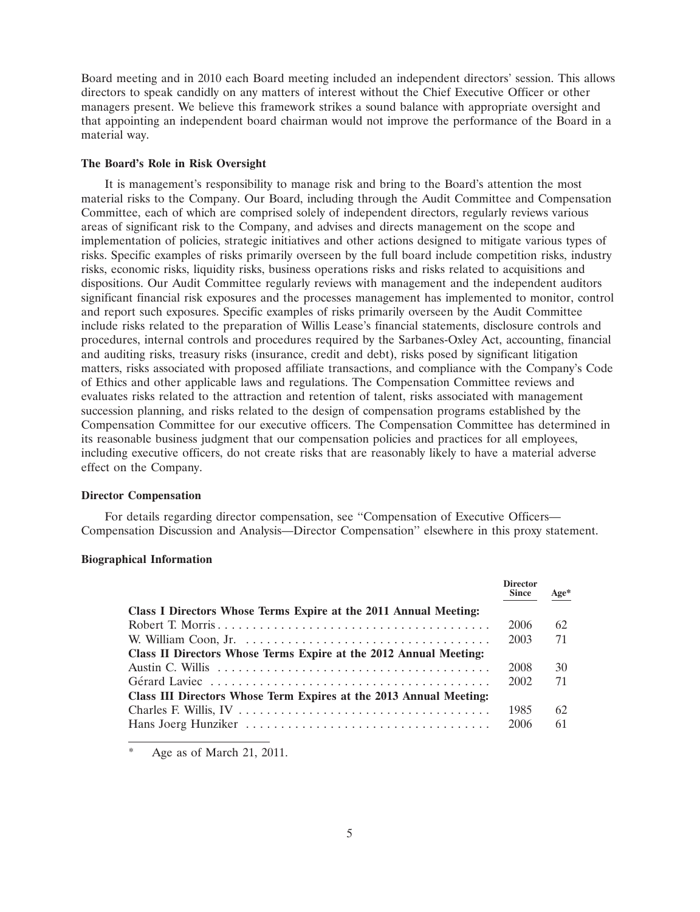Board meeting and in 2010 each Board meeting included an independent directors' session. This allows directors to speak candidly on any matters of interest without the Chief Executive Officer or other managers present. We believe this framework strikes a sound balance with appropriate oversight and that appointing an independent board chairman would not improve the performance of the Board in a material way.

## **The Board's Role in Risk Oversight**

It is management's responsibility to manage risk and bring to the Board's attention the most material risks to the Company. Our Board, including through the Audit Committee and Compensation Committee, each of which are comprised solely of independent directors, regularly reviews various areas of significant risk to the Company, and advises and directs management on the scope and implementation of policies, strategic initiatives and other actions designed to mitigate various types of risks. Specific examples of risks primarily overseen by the full board include competition risks, industry risks, economic risks, liquidity risks, business operations risks and risks related to acquisitions and dispositions. Our Audit Committee regularly reviews with management and the independent auditors significant financial risk exposures and the processes management has implemented to monitor, control and report such exposures. Specific examples of risks primarily overseen by the Audit Committee include risks related to the preparation of Willis Lease's financial statements, disclosure controls and procedures, internal controls and procedures required by the Sarbanes-Oxley Act, accounting, financial and auditing risks, treasury risks (insurance, credit and debt), risks posed by significant litigation matters, risks associated with proposed affiliate transactions, and compliance with the Company's Code of Ethics and other applicable laws and regulations. The Compensation Committee reviews and evaluates risks related to the attraction and retention of talent, risks associated with management succession planning, and risks related to the design of compensation programs established by the Compensation Committee for our executive officers. The Compensation Committee has determined in its reasonable business judgment that our compensation policies and practices for all employees, including executive officers, do not create risks that are reasonably likely to have a material adverse effect on the Company.

#### **Director Compensation**

For details regarding director compensation, see ''Compensation of Executive Officers— Compensation Discussion and Analysis—Director Compensation'' elsewhere in this proxy statement.

## **Biographical Information**

|                                                                                                     | <b>Director</b><br><b>Since</b> | Age* |
|-----------------------------------------------------------------------------------------------------|---------------------------------|------|
| Class I Directors Whose Terms Expire at the 2011 Annual Meeting:                                    |                                 |      |
|                                                                                                     | 2006                            | 62   |
|                                                                                                     | 2003                            | 71   |
| Class II Directors Whose Terms Expire at the 2012 Annual Meeting:                                   |                                 |      |
|                                                                                                     | 2008                            | 30   |
| Gérard Laviec $\ldots \ldots \ldots \ldots \ldots \ldots \ldots \ldots \ldots \ldots \ldots \ldots$ | 2002                            | 71   |
| Class III Directors Whose Term Expires at the 2013 Annual Meeting:                                  |                                 |      |
|                                                                                                     | 1985                            | 62   |
|                                                                                                     | 2006                            | 61   |

Age as of March 21, 2011.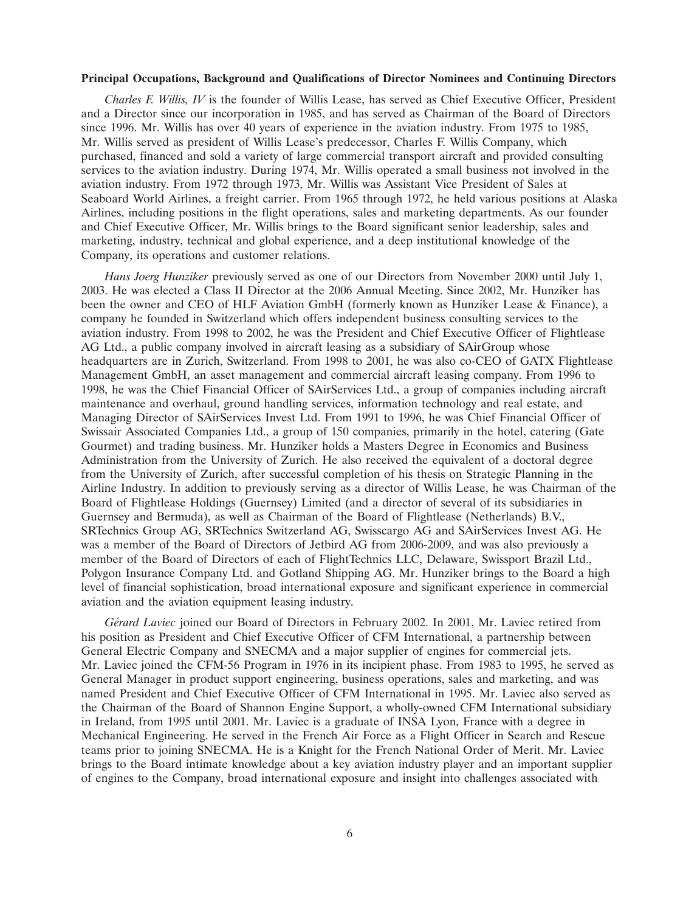#### **Principal Occupations, Background and Qualifications of Director Nominees and Continuing Directors**

*Charles F. Willis, IV* is the founder of Willis Lease, has served as Chief Executive Officer, President and a Director since our incorporation in 1985, and has served as Chairman of the Board of Directors since 1996. Mr. Willis has over 40 years of experience in the aviation industry. From 1975 to 1985, Mr. Willis served as president of Willis Lease's predecessor, Charles F. Willis Company, which purchased, financed and sold a variety of large commercial transport aircraft and provided consulting services to the aviation industry. During 1974, Mr. Willis operated a small business not involved in the aviation industry. From 1972 through 1973, Mr. Willis was Assistant Vice President of Sales at Seaboard World Airlines, a freight carrier. From 1965 through 1972, he held various positions at Alaska Airlines, including positions in the flight operations, sales and marketing departments. As our founder and Chief Executive Officer, Mr. Willis brings to the Board significant senior leadership, sales and marketing, industry, technical and global experience, and a deep institutional knowledge of the Company, its operations and customer relations.

*Hans Joerg Hunziker* previously served as one of our Directors from November 2000 until July 1, 2003. He was elected a Class II Director at the 2006 Annual Meeting. Since 2002, Mr. Hunziker has been the owner and CEO of HLF Aviation GmbH (formerly known as Hunziker Lease & Finance), a company he founded in Switzerland which offers independent business consulting services to the aviation industry. From 1998 to 2002, he was the President and Chief Executive Officer of Flightlease AG Ltd., a public company involved in aircraft leasing as a subsidiary of SAirGroup whose headquarters are in Zurich, Switzerland. From 1998 to 2001, he was also co-CEO of GATX Flightlease Management GmbH, an asset management and commercial aircraft leasing company. From 1996 to 1998, he was the Chief Financial Officer of SAirServices Ltd., a group of companies including aircraft maintenance and overhaul, ground handling services, information technology and real estate, and Managing Director of SAirServices Invest Ltd. From 1991 to 1996, he was Chief Financial Officer of Swissair Associated Companies Ltd., a group of 150 companies, primarily in the hotel, catering (Gate Gourmet) and trading business. Mr. Hunziker holds a Masters Degree in Economics and Business Administration from the University of Zurich. He also received the equivalent of a doctoral degree from the University of Zurich, after successful completion of his thesis on Strategic Planning in the Airline Industry. In addition to previously serving as a director of Willis Lease, he was Chairman of the Board of Flightlease Holdings (Guernsey) Limited (and a director of several of its subsidiaries in Guernsey and Bermuda), as well as Chairman of the Board of Flightlease (Netherlands) B.V., SRTechnics Group AG, SRTechnics Switzerland AG, Swisscargo AG and SAirServices Invest AG. He was a member of the Board of Directors of Jetbird AG from 2006-2009, and was also previously a member of the Board of Directors of each of FlightTechnics LLC, Delaware, Swissport Brazil Ltd., Polygon Insurance Company Ltd. and Gotland Shipping AG. Mr. Hunziker brings to the Board a high level of financial sophistication, broad international exposure and significant experience in commercial aviation and the aviation equipment leasing industry.

*G´erard Laviec* joined our Board of Directors in February 2002. In 2001, Mr. Laviec retired from his position as President and Chief Executive Officer of CFM International, a partnership between General Electric Company and SNECMA and a major supplier of engines for commercial jets. Mr. Laviec joined the CFM-56 Program in 1976 in its incipient phase. From 1983 to 1995, he served as General Manager in product support engineering, business operations, sales and marketing, and was named President and Chief Executive Officer of CFM International in 1995. Mr. Laviec also served as the Chairman of the Board of Shannon Engine Support, a wholly-owned CFM International subsidiary in Ireland, from 1995 until 2001. Mr. Laviec is a graduate of INSA Lyon, France with a degree in Mechanical Engineering. He served in the French Air Force as a Flight Officer in Search and Rescue teams prior to joining SNECMA. He is a Knight for the French National Order of Merit. Mr. Laviec brings to the Board intimate knowledge about a key aviation industry player and an important supplier of engines to the Company, broad international exposure and insight into challenges associated with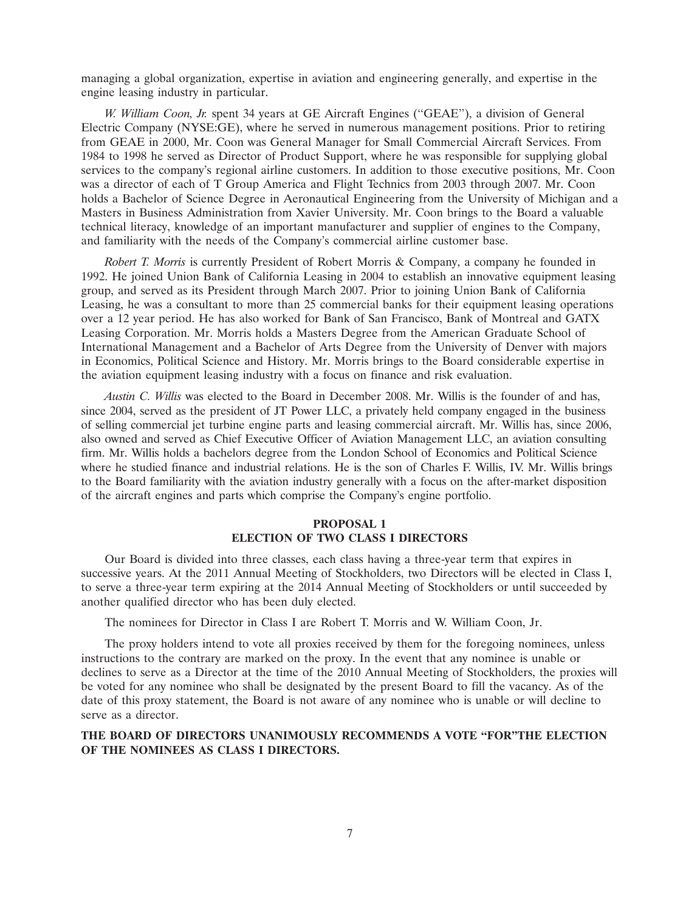managing a global organization, expertise in aviation and engineering generally, and expertise in the engine leasing industry in particular.

*W. William Coon, Jr.* spent 34 years at GE Aircraft Engines (''GEAE''), a division of General Electric Company (NYSE:GE), where he served in numerous management positions. Prior to retiring from GEAE in 2000, Mr. Coon was General Manager for Small Commercial Aircraft Services. From 1984 to 1998 he served as Director of Product Support, where he was responsible for supplying global services to the company's regional airline customers. In addition to those executive positions, Mr. Coon was a director of each of T Group America and Flight Technics from 2003 through 2007. Mr. Coon holds a Bachelor of Science Degree in Aeronautical Engineering from the University of Michigan and a Masters in Business Administration from Xavier University. Mr. Coon brings to the Board a valuable technical literacy, knowledge of an important manufacturer and supplier of engines to the Company, and familiarity with the needs of the Company's commercial airline customer base.

*Robert T. Morris* is currently President of Robert Morris & Company, a company he founded in 1992. He joined Union Bank of California Leasing in 2004 to establish an innovative equipment leasing group, and served as its President through March 2007. Prior to joining Union Bank of California Leasing, he was a consultant to more than 25 commercial banks for their equipment leasing operations over a 12 year period. He has also worked for Bank of San Francisco, Bank of Montreal and GATX Leasing Corporation. Mr. Morris holds a Masters Degree from the American Graduate School of International Management and a Bachelor of Arts Degree from the University of Denver with majors in Economics, Political Science and History. Mr. Morris brings to the Board considerable expertise in the aviation equipment leasing industry with a focus on finance and risk evaluation.

*Austin C. Willis* was elected to the Board in December 2008. Mr. Willis is the founder of and has, since 2004, served as the president of JT Power LLC, a privately held company engaged in the business of selling commercial jet turbine engine parts and leasing commercial aircraft. Mr. Willis has, since 2006, also owned and served as Chief Executive Officer of Aviation Management LLC, an aviation consulting firm. Mr. Willis holds a bachelors degree from the London School of Economics and Political Science where he studied finance and industrial relations. He is the son of Charles F. Willis, IV. Mr. Willis brings to the Board familiarity with the aviation industry generally with a focus on the after-market disposition of the aircraft engines and parts which comprise the Company's engine portfolio.

# **PROPOSAL 1 ELECTION OF TWO CLASS I DIRECTORS**

Our Board is divided into three classes, each class having a three-year term that expires in successive years. At the 2011 Annual Meeting of Stockholders, two Directors will be elected in Class I, to serve a three-year term expiring at the 2014 Annual Meeting of Stockholders or until succeeded by another qualified director who has been duly elected.

The nominees for Director in Class I are Robert T. Morris and W. William Coon, Jr.

The proxy holders intend to vote all proxies received by them for the foregoing nominees, unless instructions to the contrary are marked on the proxy. In the event that any nominee is unable or declines to serve as a Director at the time of the 2010 Annual Meeting of Stockholders, the proxies will be voted for any nominee who shall be designated by the present Board to fill the vacancy. As of the date of this proxy statement, the Board is not aware of any nominee who is unable or will decline to serve as a director.

# **THE BOARD OF DIRECTORS UNANIMOUSLY RECOMMENDS A VOTE ''FOR''THE ELECTION OF THE NOMINEES AS CLASS I DIRECTORS.**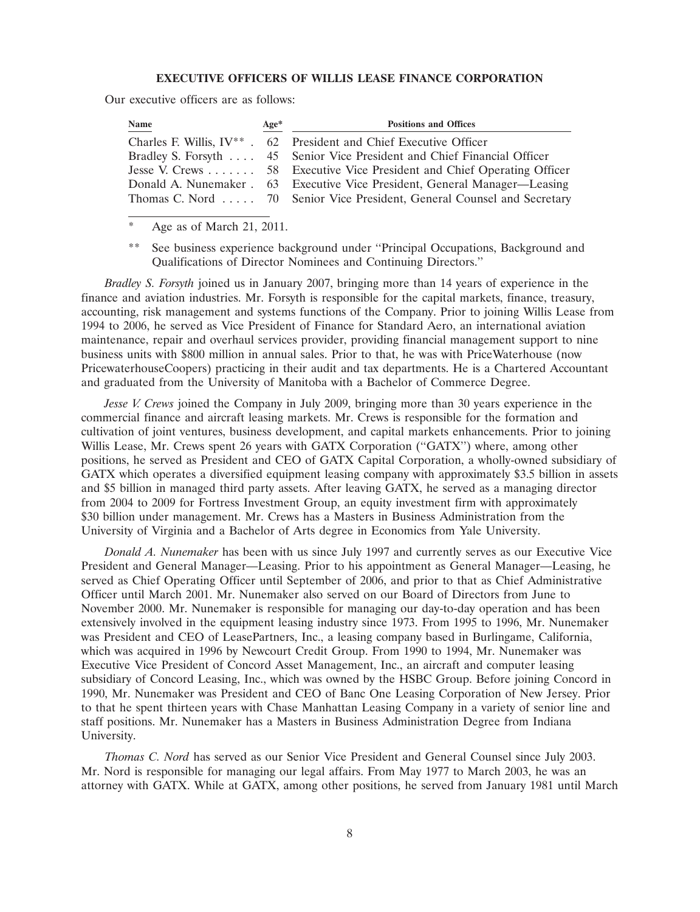# **EXECUTIVE OFFICERS OF WILLIS LEASE FINANCE CORPORATION**

Our executive officers are as follows:

| <b>Name</b> | $Age*$ | <b>Positions and Offices</b>                                               |
|-------------|--------|----------------------------------------------------------------------------|
|             |        | Charles F. Willis, $IV^*$ . 62 President and Chief Executive Officer       |
|             |        | Bradley S. Forsyth  45 Senior Vice President and Chief Financial Officer   |
|             |        | Jesse V. Crews  58 Executive Vice President and Chief Operating Officer    |
|             |        | Donald A. Nunemaker . 63 Executive Vice President, General Manager—Leasing |
|             |        | Thomas C. Nord  70 Senior Vice President, General Counsel and Secretary    |

Age as of March 21, 2011.

\*\* See business experience background under ''Principal Occupations, Background and Qualifications of Director Nominees and Continuing Directors.''

*Bradley S. Forsyth* joined us in January 2007, bringing more than 14 years of experience in the finance and aviation industries. Mr. Forsyth is responsible for the capital markets, finance, treasury, accounting, risk management and systems functions of the Company. Prior to joining Willis Lease from 1994 to 2006, he served as Vice President of Finance for Standard Aero, an international aviation maintenance, repair and overhaul services provider, providing financial management support to nine business units with \$800 million in annual sales. Prior to that, he was with PriceWaterhouse (now PricewaterhouseCoopers) practicing in their audit and tax departments. He is a Chartered Accountant and graduated from the University of Manitoba with a Bachelor of Commerce Degree.

*Jesse V. Crews* joined the Company in July 2009, bringing more than 30 years experience in the commercial finance and aircraft leasing markets. Mr. Crews is responsible for the formation and cultivation of joint ventures, business development, and capital markets enhancements. Prior to joining Willis Lease, Mr. Crews spent 26 years with GATX Corporation (''GATX'') where, among other positions, he served as President and CEO of GATX Capital Corporation, a wholly-owned subsidiary of GATX which operates a diversified equipment leasing company with approximately \$3.5 billion in assets and \$5 billion in managed third party assets. After leaving GATX, he served as a managing director from 2004 to 2009 for Fortress Investment Group, an equity investment firm with approximately \$30 billion under management. Mr. Crews has a Masters in Business Administration from the University of Virginia and a Bachelor of Arts degree in Economics from Yale University.

*Donald A. Nunemaker* has been with us since July 1997 and currently serves as our Executive Vice President and General Manager—Leasing. Prior to his appointment as General Manager—Leasing, he served as Chief Operating Officer until September of 2006, and prior to that as Chief Administrative Officer until March 2001. Mr. Nunemaker also served on our Board of Directors from June to November 2000. Mr. Nunemaker is responsible for managing our day-to-day operation and has been extensively involved in the equipment leasing industry since 1973. From 1995 to 1996, Mr. Nunemaker was President and CEO of LeasePartners, Inc., a leasing company based in Burlingame, California, which was acquired in 1996 by Newcourt Credit Group. From 1990 to 1994, Mr. Nunemaker was Executive Vice President of Concord Asset Management, Inc., an aircraft and computer leasing subsidiary of Concord Leasing, Inc., which was owned by the HSBC Group. Before joining Concord in 1990, Mr. Nunemaker was President and CEO of Banc One Leasing Corporation of New Jersey. Prior to that he spent thirteen years with Chase Manhattan Leasing Company in a variety of senior line and staff positions. Mr. Nunemaker has a Masters in Business Administration Degree from Indiana University.

*Thomas C. Nord* has served as our Senior Vice President and General Counsel since July 2003. Mr. Nord is responsible for managing our legal affairs. From May 1977 to March 2003, he was an attorney with GATX. While at GATX, among other positions, he served from January 1981 until March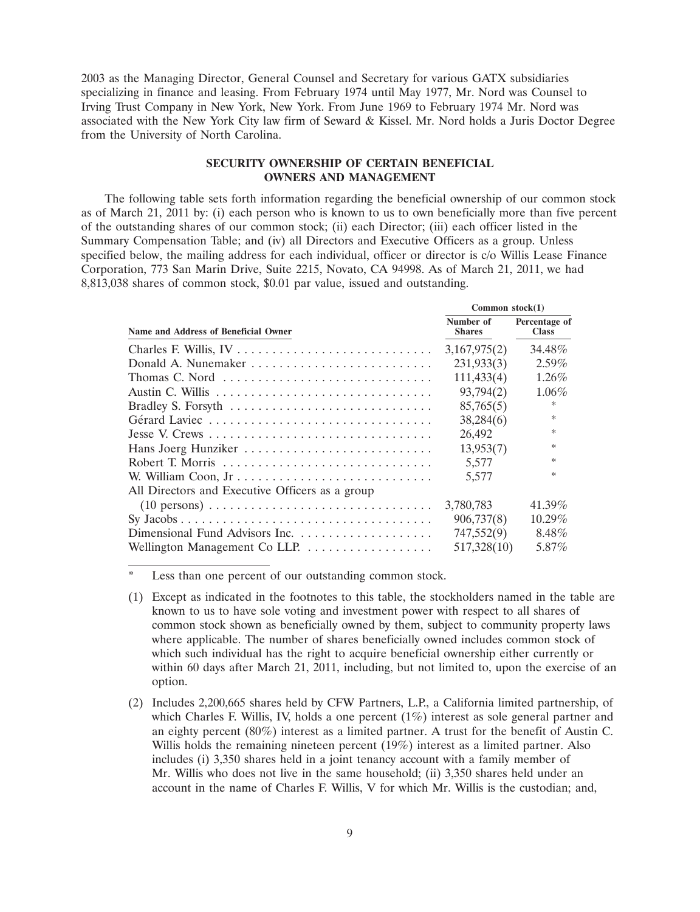2003 as the Managing Director, General Counsel and Secretary for various GATX subsidiaries specializing in finance and leasing. From February 1974 until May 1977, Mr. Nord was Counsel to Irving Trust Company in New York, New York. From June 1969 to February 1974 Mr. Nord was associated with the New York City law firm of Seward & Kissel. Mr. Nord holds a Juris Doctor Degree from the University of North Carolina.

# **SECURITY OWNERSHIP OF CERTAIN BENEFICIAL OWNERS AND MANAGEMENT**

The following table sets forth information regarding the beneficial ownership of our common stock as of March 21, 2011 by: (i) each person who is known to us to own beneficially more than five percent of the outstanding shares of our common stock; (ii) each Director; (iii) each officer listed in the Summary Compensation Table; and (iv) all Directors and Executive Officers as a group. Unless specified below, the mailing address for each individual, officer or director is c/o Willis Lease Finance Corporation, 773 San Marin Drive, Suite 2215, Novato, CA 94998. As of March 21, 2011, we had 8,813,038 shares of common stock, \$0.01 par value, issued and outstanding.

|                                                                                           | Common $stock(1)$          |                               |  |  |
|-------------------------------------------------------------------------------------------|----------------------------|-------------------------------|--|--|
| Name and Address of Beneficial Owner                                                      | Number of<br><b>Shares</b> | Percentage of<br><b>Class</b> |  |  |
|                                                                                           | 3,167,975(2)               | 34.48%                        |  |  |
|                                                                                           | 231,933(3)                 | $2.59\%$                      |  |  |
| Thomas C. Nord                                                                            | 111,433(4)                 | $1.26\%$                      |  |  |
|                                                                                           | 93,794(2)                  | $1.06\%$                      |  |  |
|                                                                                           | 85,765(5)                  | ∗                             |  |  |
| Gérard Laviec                                                                             | 38,284(6)                  | ∗                             |  |  |
|                                                                                           | 26,492                     | $\ast$                        |  |  |
| Hans Joerg Hunziker                                                                       | 13,953(7)                  | $\ast$                        |  |  |
|                                                                                           | 5,577                      | $\ast$                        |  |  |
| W. William Coon, Jr                                                                       | 5,577                      | $\ast$                        |  |  |
| All Directors and Executive Officers as a group                                           |                            |                               |  |  |
| $(10 \text{ persons}) \dots \dots \dots \dots \dots \dots \dots \dots \dots \dots \dots$  | 3,780,783                  | 41.39%                        |  |  |
| $Sy\ Jacobs \ldots \ldots \ldots \ldots \ldots \ldots \ldots \ldots \ldots \ldots \ldots$ | 906,737(8)                 | $10.29\%$                     |  |  |
|                                                                                           | 747,552(9)                 | 8.48%                         |  |  |
|                                                                                           | 517,328(10)                | 5.87%                         |  |  |

Less than one percent of our outstanding common stock.

(2) Includes 2,200,665 shares held by CFW Partners, L.P., a California limited partnership, of which Charles F. Willis, IV, holds a one percent (1%) interest as sole general partner and an eighty percent (80%) interest as a limited partner. A trust for the benefit of Austin C. Willis holds the remaining nineteen percent (19%) interest as a limited partner. Also includes (i) 3,350 shares held in a joint tenancy account with a family member of Mr. Willis who does not live in the same household; (ii) 3,350 shares held under an account in the name of Charles F. Willis, V for which Mr. Willis is the custodian; and,

<sup>(1)</sup> Except as indicated in the footnotes to this table, the stockholders named in the table are known to us to have sole voting and investment power with respect to all shares of common stock shown as beneficially owned by them, subject to community property laws where applicable. The number of shares beneficially owned includes common stock of which such individual has the right to acquire beneficial ownership either currently or within 60 days after March 21, 2011, including, but not limited to, upon the exercise of an option.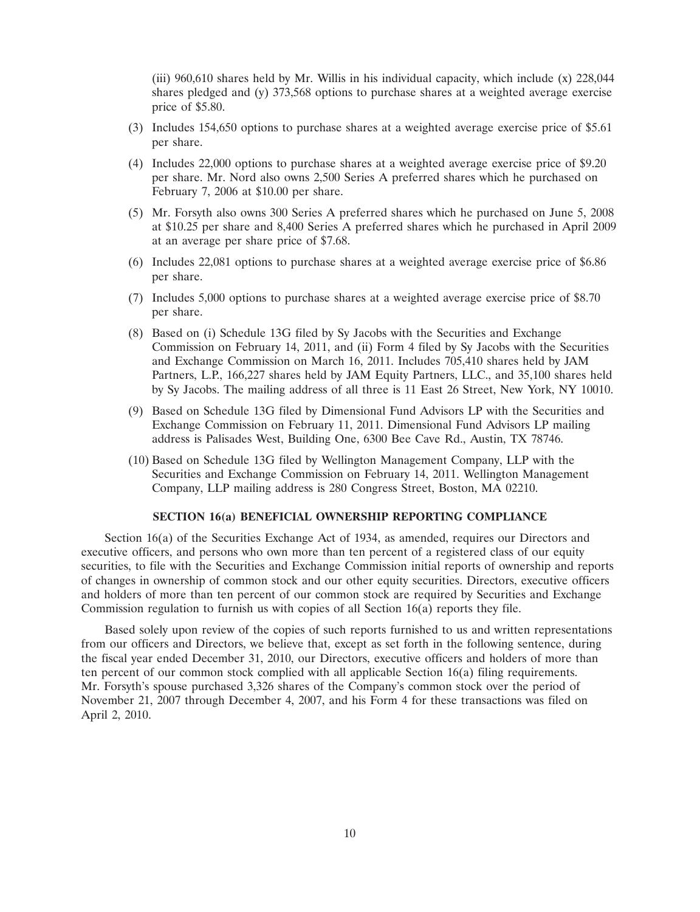(iii) 960,610 shares held by Mr. Willis in his individual capacity, which include (x) 228,044 shares pledged and (y) 373,568 options to purchase shares at a weighted average exercise price of \$5.80.

- (3) Includes 154,650 options to purchase shares at a weighted average exercise price of \$5.61 per share.
- (4) Includes 22,000 options to purchase shares at a weighted average exercise price of \$9.20 per share. Mr. Nord also owns 2,500 Series A preferred shares which he purchased on February 7, 2006 at \$10.00 per share.
- (5) Mr. Forsyth also owns 300 Series A preferred shares which he purchased on June 5, 2008 at \$10.25 per share and 8,400 Series A preferred shares which he purchased in April 2009 at an average per share price of \$7.68.
- (6) Includes 22,081 options to purchase shares at a weighted average exercise price of \$6.86 per share.
- (7) Includes 5,000 options to purchase shares at a weighted average exercise price of \$8.70 per share.
- (8) Based on (i) Schedule 13G filed by Sy Jacobs with the Securities and Exchange Commission on February 14, 2011, and (ii) Form 4 filed by Sy Jacobs with the Securities and Exchange Commission on March 16, 2011. Includes 705,410 shares held by JAM Partners, L.P., 166,227 shares held by JAM Equity Partners, LLC., and 35,100 shares held by Sy Jacobs. The mailing address of all three is 11 East 26 Street, New York, NY 10010.
- (9) Based on Schedule 13G filed by Dimensional Fund Advisors LP with the Securities and Exchange Commission on February 11, 2011. Dimensional Fund Advisors LP mailing address is Palisades West, Building One, 6300 Bee Cave Rd., Austin, TX 78746.
- (10) Based on Schedule 13G filed by Wellington Management Company, LLP with the Securities and Exchange Commission on February 14, 2011. Wellington Management Company, LLP mailing address is 280 Congress Street, Boston, MA 02210.

#### **SECTION 16(a) BENEFICIAL OWNERSHIP REPORTING COMPLIANCE**

Section 16(a) of the Securities Exchange Act of 1934, as amended, requires our Directors and executive officers, and persons who own more than ten percent of a registered class of our equity securities, to file with the Securities and Exchange Commission initial reports of ownership and reports of changes in ownership of common stock and our other equity securities. Directors, executive officers and holders of more than ten percent of our common stock are required by Securities and Exchange Commission regulation to furnish us with copies of all Section 16(a) reports they file.

Based solely upon review of the copies of such reports furnished to us and written representations from our officers and Directors, we believe that, except as set forth in the following sentence, during the fiscal year ended December 31, 2010, our Directors, executive officers and holders of more than ten percent of our common stock complied with all applicable Section 16(a) filing requirements. Mr. Forsyth's spouse purchased 3,326 shares of the Company's common stock over the period of November 21, 2007 through December 4, 2007, and his Form 4 for these transactions was filed on April 2, 2010.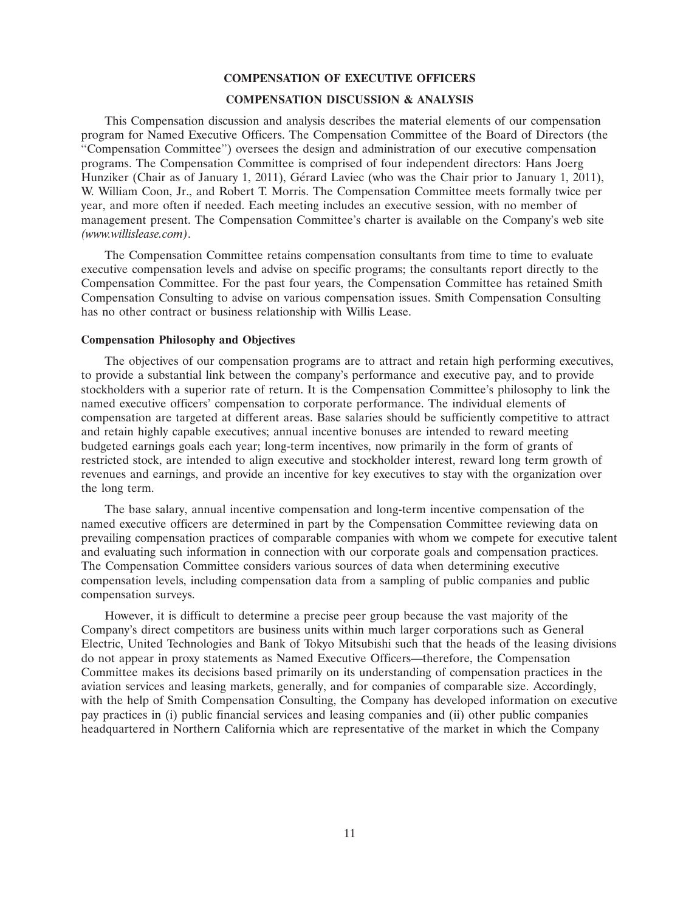#### **COMPENSATION OF EXECUTIVE OFFICERS**

# **COMPENSATION DISCUSSION & ANALYSIS**

This Compensation discussion and analysis describes the material elements of our compensation program for Named Executive Officers. The Compensation Committee of the Board of Directors (the ''Compensation Committee'') oversees the design and administration of our executive compensation programs. The Compensation Committee is comprised of four independent directors: Hans Joerg Hunziker (Chair as of January 1, 2011), Gérard Laviec (who was the Chair prior to January 1, 2011), W. William Coon, Jr., and Robert T. Morris. The Compensation Committee meets formally twice per year, and more often if needed. Each meeting includes an executive session, with no member of management present. The Compensation Committee's charter is available on the Company's web site *(www.willislease.com)*.

The Compensation Committee retains compensation consultants from time to time to evaluate executive compensation levels and advise on specific programs; the consultants report directly to the Compensation Committee. For the past four years, the Compensation Committee has retained Smith Compensation Consulting to advise on various compensation issues. Smith Compensation Consulting has no other contract or business relationship with Willis Lease.

#### **Compensation Philosophy and Objectives**

The objectives of our compensation programs are to attract and retain high performing executives, to provide a substantial link between the company's performance and executive pay, and to provide stockholders with a superior rate of return. It is the Compensation Committee's philosophy to link the named executive officers' compensation to corporate performance. The individual elements of compensation are targeted at different areas. Base salaries should be sufficiently competitive to attract and retain highly capable executives; annual incentive bonuses are intended to reward meeting budgeted earnings goals each year; long-term incentives, now primarily in the form of grants of restricted stock, are intended to align executive and stockholder interest, reward long term growth of revenues and earnings, and provide an incentive for key executives to stay with the organization over the long term.

The base salary, annual incentive compensation and long-term incentive compensation of the named executive officers are determined in part by the Compensation Committee reviewing data on prevailing compensation practices of comparable companies with whom we compete for executive talent and evaluating such information in connection with our corporate goals and compensation practices. The Compensation Committee considers various sources of data when determining executive compensation levels, including compensation data from a sampling of public companies and public compensation surveys.

However, it is difficult to determine a precise peer group because the vast majority of the Company's direct competitors are business units within much larger corporations such as General Electric, United Technologies and Bank of Tokyo Mitsubishi such that the heads of the leasing divisions do not appear in proxy statements as Named Executive Officers—therefore, the Compensation Committee makes its decisions based primarily on its understanding of compensation practices in the aviation services and leasing markets, generally, and for companies of comparable size. Accordingly, with the help of Smith Compensation Consulting, the Company has developed information on executive pay practices in (i) public financial services and leasing companies and (ii) other public companies headquartered in Northern California which are representative of the market in which the Company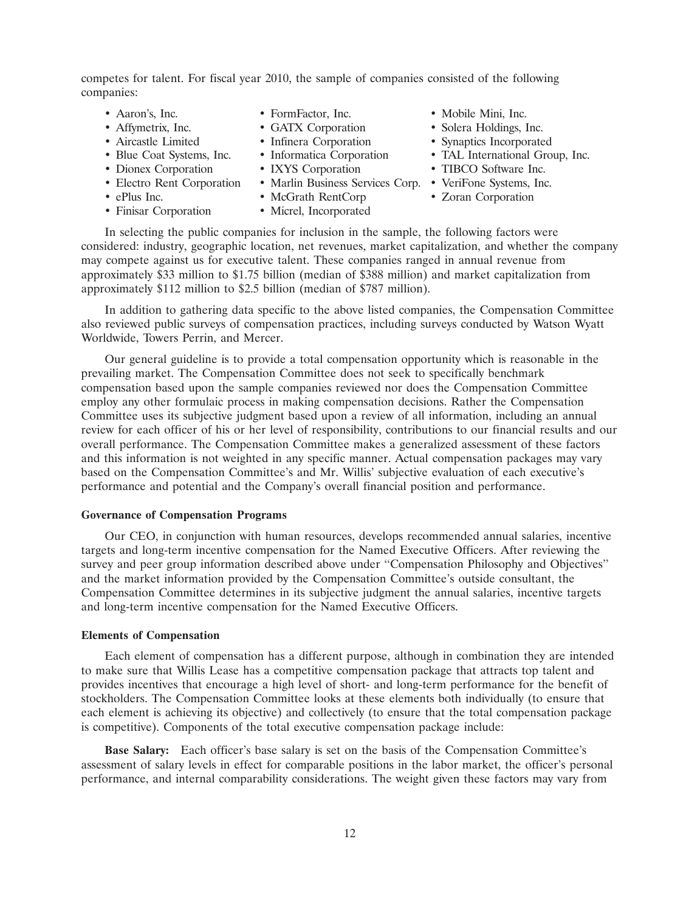competes for talent. For fiscal year 2010, the sample of companies consisted of the following companies:

- 
- 
- 
- 
- 
- 
- 
- 
- 
- 
- 
- 
- 
- 
- 
- Finisar Corporation Micrel, Incorporated
- 
- Aaron's, Inc. FormFactor, Inc. Mobile Mini, Inc.
- Affymetrix, Inc. • GATX Corporation Solera Holdings, Inc.
- Aircastle Limited Infinera Corporation Synaptics Incorporated
- Blue Coat Systems, Inc. Informatica Corporation TAL International Group, Inc.
- Dionex Corporation IXYS Corporation TIBCO Software Inc.
- Electro Rent Corporation Marlin Business Services Corp. VeriFone Systems, Inc.
- ePlus Inc. • McGrath RentCorp Zoran Corporation

In selecting the public companies for inclusion in the sample, the following factors were considered: industry, geographic location, net revenues, market capitalization, and whether the company may compete against us for executive talent. These companies ranged in annual revenue from approximately \$33 million to \$1.75 billion (median of \$388 million) and market capitalization from approximately \$112 million to \$2.5 billion (median of \$787 million).

In addition to gathering data specific to the above listed companies, the Compensation Committee also reviewed public surveys of compensation practices, including surveys conducted by Watson Wyatt Worldwide, Towers Perrin, and Mercer.

Our general guideline is to provide a total compensation opportunity which is reasonable in the prevailing market. The Compensation Committee does not seek to specifically benchmark compensation based upon the sample companies reviewed nor does the Compensation Committee employ any other formulaic process in making compensation decisions. Rather the Compensation Committee uses its subjective judgment based upon a review of all information, including an annual review for each officer of his or her level of responsibility, contributions to our financial results and our overall performance. The Compensation Committee makes a generalized assessment of these factors and this information is not weighted in any specific manner. Actual compensation packages may vary based on the Compensation Committee's and Mr. Willis' subjective evaluation of each executive's performance and potential and the Company's overall financial position and performance.

### **Governance of Compensation Programs**

Our CEO, in conjunction with human resources, develops recommended annual salaries, incentive targets and long-term incentive compensation for the Named Executive Officers. After reviewing the survey and peer group information described above under ''Compensation Philosophy and Objectives'' and the market information provided by the Compensation Committee's outside consultant, the Compensation Committee determines in its subjective judgment the annual salaries, incentive targets and long-term incentive compensation for the Named Executive Officers.

#### **Elements of Compensation**

Each element of compensation has a different purpose, although in combination they are intended to make sure that Willis Lease has a competitive compensation package that attracts top talent and provides incentives that encourage a high level of short- and long-term performance for the benefit of stockholders. The Compensation Committee looks at these elements both individually (to ensure that each element is achieving its objective) and collectively (to ensure that the total compensation package is competitive). Components of the total executive compensation package include:

**Base Salary:** Each officer's base salary is set on the basis of the Compensation Committee's assessment of salary levels in effect for comparable positions in the labor market, the officer's personal performance, and internal comparability considerations. The weight given these factors may vary from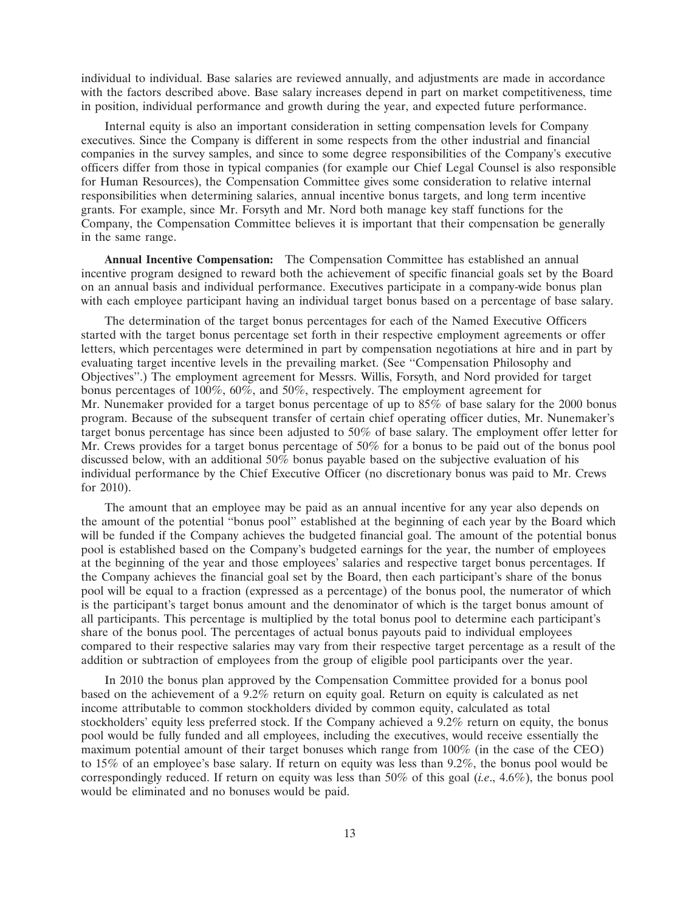individual to individual. Base salaries are reviewed annually, and adjustments are made in accordance with the factors described above. Base salary increases depend in part on market competitiveness, time in position, individual performance and growth during the year, and expected future performance.

Internal equity is also an important consideration in setting compensation levels for Company executives. Since the Company is different in some respects from the other industrial and financial companies in the survey samples, and since to some degree responsibilities of the Company's executive officers differ from those in typical companies (for example our Chief Legal Counsel is also responsible for Human Resources), the Compensation Committee gives some consideration to relative internal responsibilities when determining salaries, annual incentive bonus targets, and long term incentive grants. For example, since Mr. Forsyth and Mr. Nord both manage key staff functions for the Company, the Compensation Committee believes it is important that their compensation be generally in the same range.

**Annual Incentive Compensation:** The Compensation Committee has established an annual incentive program designed to reward both the achievement of specific financial goals set by the Board on an annual basis and individual performance. Executives participate in a company-wide bonus plan with each employee participant having an individual target bonus based on a percentage of base salary.

The determination of the target bonus percentages for each of the Named Executive Officers started with the target bonus percentage set forth in their respective employment agreements or offer letters, which percentages were determined in part by compensation negotiations at hire and in part by evaluating target incentive levels in the prevailing market. (See ''Compensation Philosophy and Objectives''.) The employment agreement for Messrs. Willis, Forsyth, and Nord provided for target bonus percentages of 100%, 60%, and 50%, respectively. The employment agreement for Mr. Nunemaker provided for a target bonus percentage of up to  $85\%$  of base salary for the 2000 bonus program. Because of the subsequent transfer of certain chief operating officer duties, Mr. Nunemaker's target bonus percentage has since been adjusted to 50% of base salary. The employment offer letter for Mr. Crews provides for a target bonus percentage of 50% for a bonus to be paid out of the bonus pool discussed below, with an additional 50% bonus payable based on the subjective evaluation of his individual performance by the Chief Executive Officer (no discretionary bonus was paid to Mr. Crews for 2010).

The amount that an employee may be paid as an annual incentive for any year also depends on the amount of the potential ''bonus pool'' established at the beginning of each year by the Board which will be funded if the Company achieves the budgeted financial goal. The amount of the potential bonus pool is established based on the Company's budgeted earnings for the year, the number of employees at the beginning of the year and those employees' salaries and respective target bonus percentages. If the Company achieves the financial goal set by the Board, then each participant's share of the bonus pool will be equal to a fraction (expressed as a percentage) of the bonus pool, the numerator of which is the participant's target bonus amount and the denominator of which is the target bonus amount of all participants. This percentage is multiplied by the total bonus pool to determine each participant's share of the bonus pool. The percentages of actual bonus payouts paid to individual employees compared to their respective salaries may vary from their respective target percentage as a result of the addition or subtraction of employees from the group of eligible pool participants over the year.

In 2010 the bonus plan approved by the Compensation Committee provided for a bonus pool based on the achievement of a 9.2% return on equity goal. Return on equity is calculated as net income attributable to common stockholders divided by common equity, calculated as total stockholders' equity less preferred stock. If the Company achieved a 9.2% return on equity, the bonus pool would be fully funded and all employees, including the executives, would receive essentially the maximum potential amount of their target bonuses which range from 100% (in the case of the CEO) to 15% of an employee's base salary. If return on equity was less than 9.2%, the bonus pool would be correspondingly reduced. If return on equity was less than 50% of this goal (*i.e*., 4.6%), the bonus pool would be eliminated and no bonuses would be paid.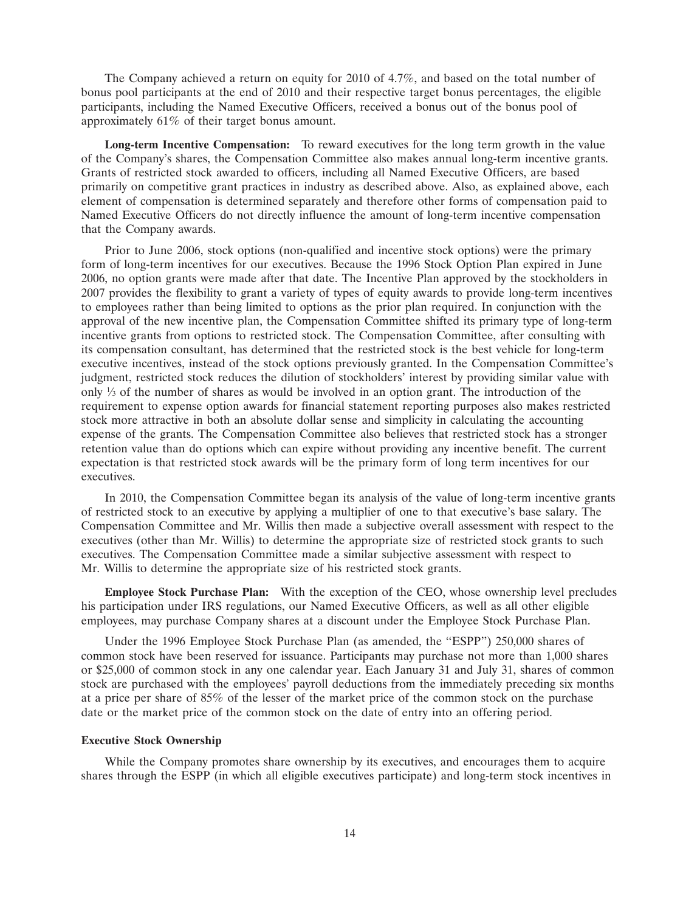The Company achieved a return on equity for 2010 of 4.7%, and based on the total number of bonus pool participants at the end of 2010 and their respective target bonus percentages, the eligible participants, including the Named Executive Officers, received a bonus out of the bonus pool of approximately 61% of their target bonus amount.

**Long-term Incentive Compensation:** To reward executives for the long term growth in the value of the Company's shares, the Compensation Committee also makes annual long-term incentive grants. Grants of restricted stock awarded to officers, including all Named Executive Officers, are based primarily on competitive grant practices in industry as described above. Also, as explained above, each element of compensation is determined separately and therefore other forms of compensation paid to Named Executive Officers do not directly influence the amount of long-term incentive compensation that the Company awards.

Prior to June 2006, stock options (non-qualified and incentive stock options) were the primary form of long-term incentives for our executives. Because the 1996 Stock Option Plan expired in June 2006, no option grants were made after that date. The Incentive Plan approved by the stockholders in 2007 provides the flexibility to grant a variety of types of equity awards to provide long-term incentives to employees rather than being limited to options as the prior plan required. In conjunction with the approval of the new incentive plan, the Compensation Committee shifted its primary type of long-term incentive grants from options to restricted stock. The Compensation Committee, after consulting with its compensation consultant, has determined that the restricted stock is the best vehicle for long-term executive incentives, instead of the stock options previously granted. In the Compensation Committee's judgment, restricted stock reduces the dilution of stockholders' interest by providing similar value with only  $\frac{1}{3}$  of the number of shares as would be involved in an option grant. The introduction of the requirement to expense option awards for financial statement reporting purposes also makes restricted stock more attractive in both an absolute dollar sense and simplicity in calculating the accounting expense of the grants. The Compensation Committee also believes that restricted stock has a stronger retention value than do options which can expire without providing any incentive benefit. The current expectation is that restricted stock awards will be the primary form of long term incentives for our executives.

In 2010, the Compensation Committee began its analysis of the value of long-term incentive grants of restricted stock to an executive by applying a multiplier of one to that executive's base salary. The Compensation Committee and Mr. Willis then made a subjective overall assessment with respect to the executives (other than Mr. Willis) to determine the appropriate size of restricted stock grants to such executives. The Compensation Committee made a similar subjective assessment with respect to Mr. Willis to determine the appropriate size of his restricted stock grants.

**Employee Stock Purchase Plan:** With the exception of the CEO, whose ownership level precludes his participation under IRS regulations, our Named Executive Officers, as well as all other eligible employees, may purchase Company shares at a discount under the Employee Stock Purchase Plan.

Under the 1996 Employee Stock Purchase Plan (as amended, the ''ESPP'') 250,000 shares of common stock have been reserved for issuance. Participants may purchase not more than 1,000 shares or \$25,000 of common stock in any one calendar year. Each January 31 and July 31, shares of common stock are purchased with the employees' payroll deductions from the immediately preceding six months at a price per share of 85% of the lesser of the market price of the common stock on the purchase date or the market price of the common stock on the date of entry into an offering period.

#### **Executive Stock Ownership**

While the Company promotes share ownership by its executives, and encourages them to acquire shares through the ESPP (in which all eligible executives participate) and long-term stock incentives in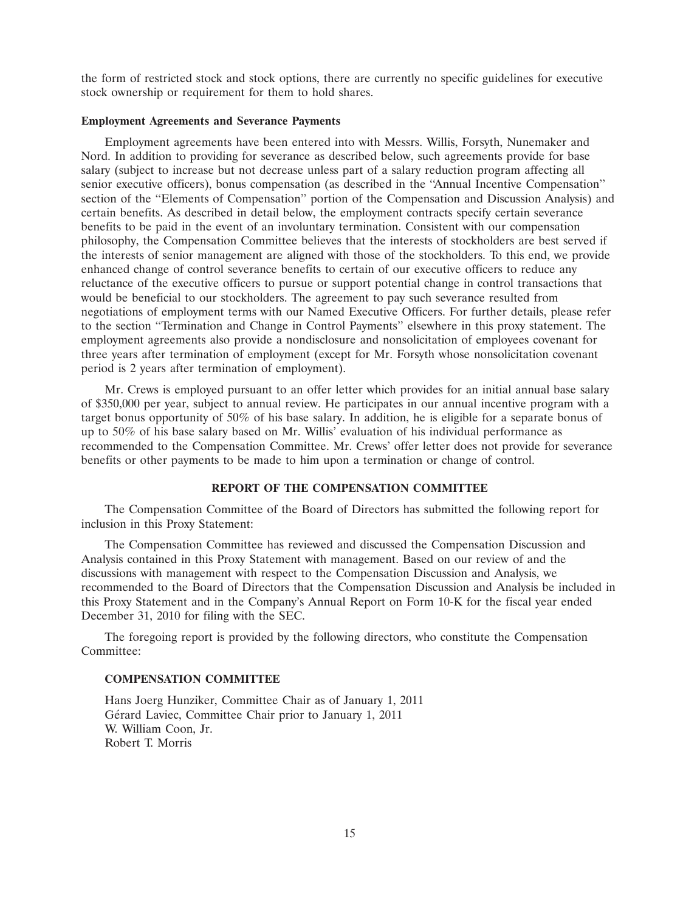the form of restricted stock and stock options, there are currently no specific guidelines for executive stock ownership or requirement for them to hold shares.

# **Employment Agreements and Severance Payments**

Employment agreements have been entered into with Messrs. Willis, Forsyth, Nunemaker and Nord. In addition to providing for severance as described below, such agreements provide for base salary (subject to increase but not decrease unless part of a salary reduction program affecting all senior executive officers), bonus compensation (as described in the ''Annual Incentive Compensation'' section of the "Elements of Compensation" portion of the Compensation and Discussion Analysis) and certain benefits. As described in detail below, the employment contracts specify certain severance benefits to be paid in the event of an involuntary termination. Consistent with our compensation philosophy, the Compensation Committee believes that the interests of stockholders are best served if the interests of senior management are aligned with those of the stockholders. To this end, we provide enhanced change of control severance benefits to certain of our executive officers to reduce any reluctance of the executive officers to pursue or support potential change in control transactions that would be beneficial to our stockholders. The agreement to pay such severance resulted from negotiations of employment terms with our Named Executive Officers. For further details, please refer to the section ''Termination and Change in Control Payments'' elsewhere in this proxy statement. The employment agreements also provide a nondisclosure and nonsolicitation of employees covenant for three years after termination of employment (except for Mr. Forsyth whose nonsolicitation covenant period is 2 years after termination of employment).

Mr. Crews is employed pursuant to an offer letter which provides for an initial annual base salary of \$350,000 per year, subject to annual review. He participates in our annual incentive program with a target bonus opportunity of 50% of his base salary. In addition, he is eligible for a separate bonus of up to 50% of his base salary based on Mr. Willis' evaluation of his individual performance as recommended to the Compensation Committee. Mr. Crews' offer letter does not provide for severance benefits or other payments to be made to him upon a termination or change of control.

### **REPORT OF THE COMPENSATION COMMITTEE**

The Compensation Committee of the Board of Directors has submitted the following report for inclusion in this Proxy Statement:

The Compensation Committee has reviewed and discussed the Compensation Discussion and Analysis contained in this Proxy Statement with management. Based on our review of and the discussions with management with respect to the Compensation Discussion and Analysis, we recommended to the Board of Directors that the Compensation Discussion and Analysis be included in this Proxy Statement and in the Company's Annual Report on Form 10-K for the fiscal year ended December 31, 2010 for filing with the SEC.

The foregoing report is provided by the following directors, who constitute the Compensation Committee:

### **COMPENSATION COMMITTEE**

Hans Joerg Hunziker, Committee Chair as of January 1, 2011 Gérard Laviec, Committee Chair prior to January 1, 2011 W. William Coon, Jr. Robert T. Morris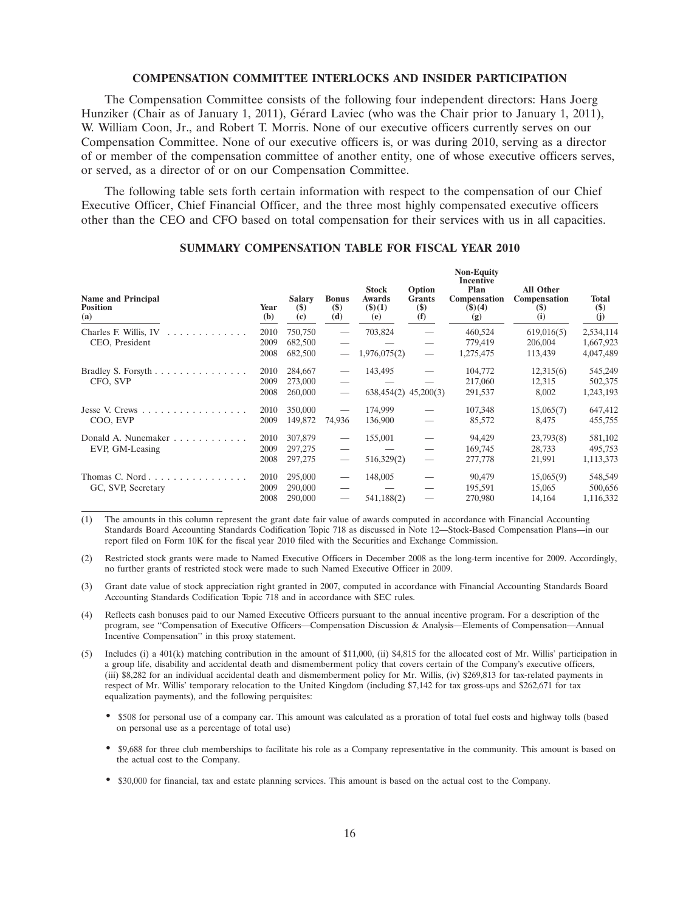#### **COMPENSATION COMMITTEE INTERLOCKS AND INSIDER PARTICIPATION**

The Compensation Committee consists of the following four independent directors: Hans Joerg Hunziker (Chair as of January 1, 2011), Gérard Laviec (who was the Chair prior to January 1, 2011), W. William Coon, Jr., and Robert T. Morris. None of our executive officers currently serves on our Compensation Committee. None of our executive officers is, or was during 2010, serving as a director of or member of the compensation committee of another entity, one of whose executive officers serves, or served, as a director of or on our Compensation Committee.

The following table sets forth certain information with respect to the compensation of our Chief Executive Officer, Chief Financial Officer, and the three most highly compensated executive officers other than the CEO and CFO based on total compensation for their services with us in all capacities.

| <b>Name and Principal</b><br><b>Position</b><br>(a)      | Year<br>(b) | <b>Salary</b><br>$($)$<br>(c) | <b>Bonus</b><br>$($)$<br>(d)      | <b>Stock</b><br><b>Awards</b><br>(3)(1)<br>(e) | Option<br><b>Grants</b><br>$($ \$)<br>(f) | <b>Non-Equity</b><br><b>Incentive</b><br>Plan<br>Compensation<br>(3)(4)<br>(g) | <b>All Other</b><br>Compensation<br>$(\$)$<br>(i) | Total<br>$($)$<br>(j) |
|----------------------------------------------------------|-------------|-------------------------------|-----------------------------------|------------------------------------------------|-------------------------------------------|--------------------------------------------------------------------------------|---------------------------------------------------|-----------------------|
| Charles F. Willis, IV<br>.                               | 2010        | 750,750                       | $\hspace{0.05cm}$                 | 703,824                                        |                                           | 460,524                                                                        | 619,016(5)                                        | 2,534,114             |
| CEO, President                                           | 2009        | 682,500                       |                                   |                                                |                                           | 779,419                                                                        | 206,004                                           | 1,667,923             |
|                                                          | 2008        | 682,500                       | $\overbrace{\phantom{123321}}$    | 1,976,075(2)                                   | $\hspace{0.1mm}-\hspace{0.1mm}$           | 1,275,475                                                                      | 113,439                                           | 4,047,489             |
|                                                          | 2010        | 284,667                       |                                   | 143,495                                        |                                           | 104,772                                                                        | 12,315(6)                                         | 545,249               |
| CFO, SVP                                                 | 2009        | 273,000                       |                                   |                                                |                                           | 217,060                                                                        | 12,315                                            | 502,375               |
|                                                          | 2008        | 260,000                       |                                   | $638,454(2)$ $45,200(3)$                       |                                           | 291,537                                                                        | 8,002                                             | 1,243,193             |
| Jesse V. Crews $\ldots$ , $\ldots$ , $\ldots$ , $\ldots$ | 2010        | 350,000                       |                                   | 174,999                                        |                                           | 107,348                                                                        | 15,065(7)                                         | 647,412               |
| COO, EVP                                                 | 2009        | 149,872                       | 74,936                            | 136,900                                        |                                           | 85,572                                                                         | 8,475                                             | 455,755               |
| Donald A. Nunemaker                                      | 2010        | 307,879                       | $\hspace{0.05cm}$                 | 155,001                                        |                                           | 94,429                                                                         | 23,793(8)                                         | 581,102               |
| EVP, GM-Leasing                                          | 2009        | 297,275                       |                                   |                                                | $\overline{\phantom{0}}$                  | 169,745                                                                        | 28,733                                            | 495,753               |
|                                                          | 2008        | 297,275                       | $\overbrace{\phantom{123221111}}$ | 516,329(2)                                     | $\hspace{0.1mm}-\hspace{0.1mm}$           | 277,778                                                                        | 21,991                                            | 1,113,373             |
| Thomas C. Nord $\ldots$ , $\ldots$ , $\ldots$            | 2010        | 295,000                       | $\overline{\phantom{0}}$          | 148,005                                        |                                           | 90,479                                                                         | 15,065(9)                                         | 548,549               |
| GC, SVP, Secretary                                       | 2009        | 290,000                       |                                   |                                                |                                           | 195,591                                                                        | 15,065                                            | 500,656               |
|                                                          | 2008        | 290,000                       | $\overline{\phantom{0}}$          | 541,188(2)                                     |                                           | 270,980                                                                        | 14,164                                            | 1,116,332             |

# **SUMMARY COMPENSATION TABLE FOR FISCAL YEAR 2010**

- (1) The amounts in this column represent the grant date fair value of awards computed in accordance with Financial Accounting Standards Board Accounting Standards Codification Topic 718 as discussed in Note 12—Stock-Based Compensation Plans—in our report filed on Form 10K for the fiscal year 2010 filed with the Securities and Exchange Commission.
- (2) Restricted stock grants were made to Named Executive Officers in December 2008 as the long-term incentive for 2009. Accordingly, no further grants of restricted stock were made to such Named Executive Officer in 2009.
- (3) Grant date value of stock appreciation right granted in 2007, computed in accordance with Financial Accounting Standards Board Accounting Standards Codification Topic 718 and in accordance with SEC rules.
- (4) Reflects cash bonuses paid to our Named Executive Officers pursuant to the annual incentive program. For a description of the program, see ''Compensation of Executive Officers—Compensation Discussion & Analysis—Elements of Compensation—Annual Incentive Compensation'' in this proxy statement.
- (5) Includes (i) a 401(k) matching contribution in the amount of \$11,000, (ii) \$4,815 for the allocated cost of Mr. Willis' participation in a group life, disability and accidental death and dismemberment policy that covers certain of the Company's executive officers, (iii) \$8,282 for an individual accidental death and dismemberment policy for Mr. Willis, (iv) \$269,813 for tax-related payments in respect of Mr. Willis' temporary relocation to the United Kingdom (including \$7,142 for tax gross-ups and \$262,671 for tax equalization payments), and the following perquisites:
	- \$508 for personal use of a company car. This amount was calculated as a proration of total fuel costs and highway tolls (based on personal use as a percentage of total use)
	- \$9,688 for three club memberships to facilitate his role as a Company representative in the community. This amount is based on the actual cost to the Company.
	- \$30,000 for financial, tax and estate planning services. This amount is based on the actual cost to the Company.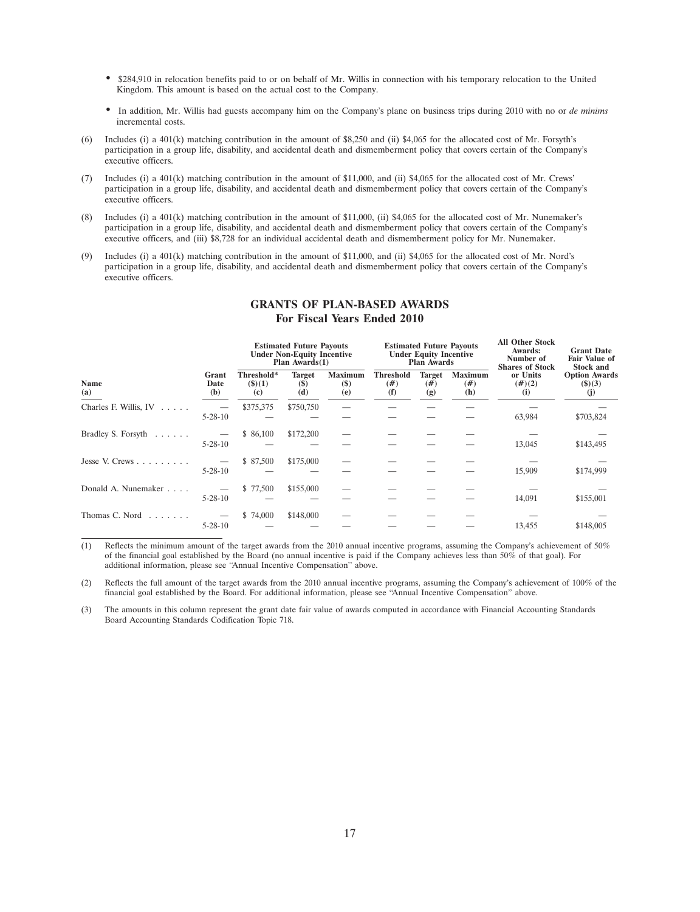- \$284,910 in relocation benefits paid to or on behalf of Mr. Willis in connection with his temporary relocation to the United Kingdom. This amount is based on the actual cost to the Company.
- In addition, Mr. Willis had guests accompany him on the Company's plane on business trips during 2010 with no or *de minims* incremental costs.
- (6) Includes (i) a 401(k) matching contribution in the amount of \$8,250 and (ii) \$4,065 for the allocated cost of Mr. Forsyth's participation in a group life, disability, and accidental death and dismemberment policy that covers certain of the Company's executive officers.
- (7) Includes (i) a 401(k) matching contribution in the amount of \$11,000, and (ii) \$4,065 for the allocated cost of Mr. Crews' participation in a group life, disability, and accidental death and dismemberment policy that covers certain of the Company's executive officers.
- (8) Includes (i) a 401(k) matching contribution in the amount of \$11,000, (ii) \$4,065 for the allocated cost of Mr. Nunemaker's participation in a group life, disability, and accidental death and dismemberment policy that covers certain of the Company's executive officers, and (iii) \$8,728 for an individual accidental death and dismemberment policy for Mr. Nunemaker.
- (9) Includes (i) a 401(k) matching contribution in the amount of \$11,000, and (ii) \$4,065 for the allocated cost of Mr. Nord's participation in a group life, disability, and accidental death and dismemberment policy that covers certain of the Company's executive officers.

|                                 |                      | <b>Estimated Future Payouts</b><br><b>Under Non-Equity Incentive</b><br>Plan $Awards(1)$ |                                |                                 | <b>Estimated Future Payouts</b><br><b>Under Equity Incentive</b><br><b>Plan Awards</b> |                              |                               | <b>All Other Stock</b><br>Awards:<br>Number of<br><b>Shares of Stock</b> | <b>Grant Date</b><br><b>Fair Value of</b><br><b>Stock and</b> |
|---------------------------------|----------------------|------------------------------------------------------------------------------------------|--------------------------------|---------------------------------|----------------------------------------------------------------------------------------|------------------------------|-------------------------------|--------------------------------------------------------------------------|---------------------------------------------------------------|
| <b>Name</b><br>(a)              | Grant<br>Date<br>(b) | Threshold*<br>(3)(1)<br>(c)                                                              | <b>Target</b><br>$(\$)$<br>(d) | <b>Maximum</b><br>$(\$)$<br>(e) | <b>Threshold</b><br>(# )<br>(f)                                                        | <b>Target</b><br>(# )<br>(g) | <b>Maximum</b><br>(# )<br>(h) | or Units<br>$(\#)(2)$<br>(i)                                             | <b>Option Awards</b><br>(3)(3)<br>(j)                         |
| Charles F. Willis, $IV \dots$ . | $5 - 28 - 10$        | \$375,375                                                                                | \$750,750                      |                                 |                                                                                        |                              |                               | 63,984                                                                   | \$703,824                                                     |
| Bradley S. Forsyth              | $5 - 28 - 10$        | \$ 86,100                                                                                | \$172,200                      |                                 |                                                                                        |                              |                               | 13,045                                                                   | \$143,495                                                     |
| Jesse V. Crews $\ldots$         | $5 - 28 - 10$        | \$ 87,500                                                                                | \$175,000                      |                                 |                                                                                        |                              |                               | 15,909                                                                   | \$174,999                                                     |
| Donald A. Nunemaker             | $5 - 28 - 10$        | \$ 77,500                                                                                | \$155,000                      |                                 |                                                                                        |                              |                               | 14,091                                                                   | \$155,001                                                     |
| Thomas C. Nord                  | $5 - 28 - 10$        | \$74,000                                                                                 | \$148,000                      |                                 |                                                                                        |                              |                               | 13,455                                                                   | \$148,005                                                     |

# **GRANTS OF PLAN-BASED AWARDS For Fiscal Years Ended 2010**

(1) Reflects the minimum amount of the target awards from the 2010 annual incentive programs, assuming the Company's achievement of 50% of the financial goal established by the Board (no annual incentive is paid if the Company achieves less than 50% of that goal). For additional information, please see ''Annual Incentive Compensation'' above.

(2) Reflects the full amount of the target awards from the 2010 annual incentive programs, assuming the Company's achievement of 100% of the financial goal established by the Board. For additional information, please see ''Annual Incentive Compensation'' above.

(3) The amounts in this column represent the grant date fair value of awards computed in accordance with Financial Accounting Standards Board Accounting Standards Codification Topic 718.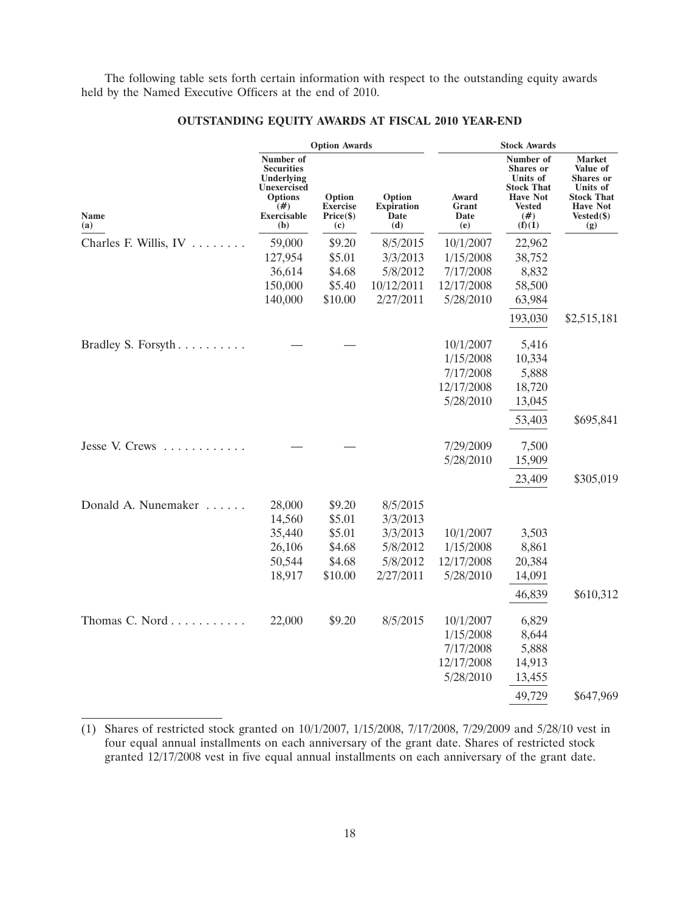The following table sets forth certain information with respect to the outstanding equity awards held by the Named Executive Officers at the end of 2010.

|                       |                                                                                                                           | <b>Option Awards</b>                                      |                                                                       | <b>Stock Awards</b>                                            |                                                                                                                            |                                                                                                                        |  |
|-----------------------|---------------------------------------------------------------------------------------------------------------------------|-----------------------------------------------------------|-----------------------------------------------------------------------|----------------------------------------------------------------|----------------------------------------------------------------------------------------------------------------------------|------------------------------------------------------------------------------------------------------------------------|--|
| Name<br>(a)           | Number of<br><b>Securities</b><br>Underlying<br><b>Unexercised</b><br><b>Options</b><br>(# )<br><b>Exercisable</b><br>(b) | Option<br><b>Exercise</b><br>Price (\$)<br>(c)            | Option<br><b>Expiration</b><br><b>Date</b><br>(d)                     | Award<br>Grant<br>Date<br>(e)                                  | Number of<br><b>Shares</b> or<br><b>Units of</b><br><b>Stock That</b><br><b>Have Not</b><br><b>Vested</b><br>(#)<br>(f)(1) | <b>Market</b><br>Value of<br><b>Shares</b> or<br>Units of<br><b>Stock That</b><br><b>Have Not</b><br>Vested(\$)<br>(g) |  |
| Charles F. Willis, IV | 59,000<br>127,954<br>36,614<br>150,000<br>140,000                                                                         | \$9.20<br>\$5.01<br>\$4.68<br>\$5.40<br>\$10.00           | 8/5/2015<br>3/3/2013<br>5/8/2012<br>10/12/2011<br>2/27/2011           | 10/1/2007<br>1/15/2008<br>7/17/2008<br>12/17/2008<br>5/28/2010 | 22,962<br>38,752<br>8,832<br>58,500<br>63,984<br>193,030                                                                   | \$2,515,181                                                                                                            |  |
| Bradley S. Forsyth    |                                                                                                                           |                                                           |                                                                       | 10/1/2007<br>1/15/2008<br>7/17/2008<br>12/17/2008<br>5/28/2010 | 5,416<br>10,334<br>5,888<br>18,720<br>13,045<br>53,403                                                                     | \$695,841                                                                                                              |  |
| Jesse V. Crews        |                                                                                                                           |                                                           |                                                                       | 7/29/2009<br>5/28/2010                                         | 7,500<br>15,909<br>23,409                                                                                                  | \$305,019                                                                                                              |  |
| Donald A. Nunemaker   | 28,000<br>14,560<br>35,440<br>26,106<br>50,544<br>18,917                                                                  | \$9.20<br>\$5.01<br>\$5.01<br>\$4.68<br>\$4.68<br>\$10.00 | 8/5/2015<br>3/3/2013<br>3/3/2013<br>5/8/2012<br>5/8/2012<br>2/27/2011 | 10/1/2007<br>1/15/2008<br>12/17/2008<br>5/28/2010              | 3,503<br>8,861<br>20,384<br>14,091                                                                                         |                                                                                                                        |  |
| Thomas C. Nord        | 22,000                                                                                                                    | \$9.20                                                    | 8/5/2015                                                              | 10/1/2007<br>1/15/2008<br>7/17/2008<br>12/17/2008<br>5/28/2010 | 46,839<br>6,829<br>8,644<br>5,888<br>14,913<br>13,455<br>49,729                                                            | \$610,312<br>\$647,969                                                                                                 |  |

# **OUTSTANDING EQUITY AWARDS AT FISCAL 2010 YEAR-END**

<sup>(1)</sup> Shares of restricted stock granted on 10/1/2007, 1/15/2008, 7/17/2008, 7/29/2009 and 5/28/10 vest in four equal annual installments on each anniversary of the grant date. Shares of restricted stock granted 12/17/2008 vest in five equal annual installments on each anniversary of the grant date.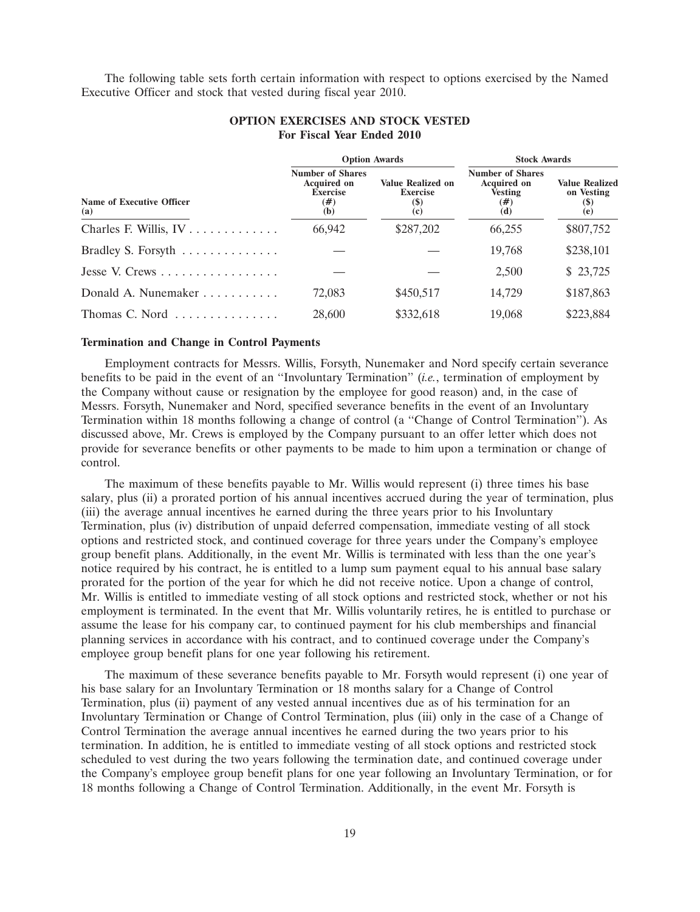The following table sets forth certain information with respect to options exercised by the Named Executive Officer and stock that vested during fiscal year 2010.

|                                            |                                                                                   | <b>Option Awards</b>                                                             | <b>Stock Awards</b>                                                              |                                                                           |  |
|--------------------------------------------|-----------------------------------------------------------------------------------|----------------------------------------------------------------------------------|----------------------------------------------------------------------------------|---------------------------------------------------------------------------|--|
| Name of Executive Officer<br>(a)           | <b>Number of Shares</b><br><b>Acquired on</b><br><b>Exercise</b><br>$(\#)$<br>(b) | <b>Value Realized on</b><br><b>Exercise</b><br>$\left( \mathbb{S}\right)$<br>(c) | <b>Number of Shares</b><br><b>Acquired on</b><br><b>Vesting</b><br>$(\#)$<br>(d) | <b>Value Realized</b><br>on Vesting<br>$\left( \mathcal{S}\right)$<br>(e) |  |
|                                            | 66.942                                                                            | \$287,202                                                                        | 66,255                                                                           | \$807,752                                                                 |  |
| Bradley S. Forsyth                         |                                                                                   |                                                                                  | 19,768                                                                           | \$238,101                                                                 |  |
| Jesse V. Crews                             |                                                                                   |                                                                                  | 2,500                                                                            | \$23,725                                                                  |  |
| Donald A. Nunemaker $\dots\dots\dots\dots$ | 72.083                                                                            | \$450,517                                                                        | 14.729                                                                           | \$187,863                                                                 |  |
| Thomas C. Nord                             | 28,600                                                                            | \$332,618                                                                        | 19,068                                                                           | \$223,884                                                                 |  |

# **OPTION EXERCISES AND STOCK VESTED For Fiscal Year Ended 2010**

#### **Termination and Change in Control Payments**

Employment contracts for Messrs. Willis, Forsyth, Nunemaker and Nord specify certain severance benefits to be paid in the event of an ''Involuntary Termination'' (*i.e.*, termination of employment by the Company without cause or resignation by the employee for good reason) and, in the case of Messrs. Forsyth, Nunemaker and Nord, specified severance benefits in the event of an Involuntary Termination within 18 months following a change of control (a ''Change of Control Termination''). As discussed above, Mr. Crews is employed by the Company pursuant to an offer letter which does not provide for severance benefits or other payments to be made to him upon a termination or change of control.

The maximum of these benefits payable to Mr. Willis would represent (i) three times his base salary, plus (ii) a prorated portion of his annual incentives accrued during the year of termination, plus (iii) the average annual incentives he earned during the three years prior to his Involuntary Termination, plus (iv) distribution of unpaid deferred compensation, immediate vesting of all stock options and restricted stock, and continued coverage for three years under the Company's employee group benefit plans. Additionally, in the event Mr. Willis is terminated with less than the one year's notice required by his contract, he is entitled to a lump sum payment equal to his annual base salary prorated for the portion of the year for which he did not receive notice. Upon a change of control, Mr. Willis is entitled to immediate vesting of all stock options and restricted stock, whether or not his employment is terminated. In the event that Mr. Willis voluntarily retires, he is entitled to purchase or assume the lease for his company car, to continued payment for his club memberships and financial planning services in accordance with his contract, and to continued coverage under the Company's employee group benefit plans for one year following his retirement.

The maximum of these severance benefits payable to Mr. Forsyth would represent (i) one year of his base salary for an Involuntary Termination or 18 months salary for a Change of Control Termination, plus (ii) payment of any vested annual incentives due as of his termination for an Involuntary Termination or Change of Control Termination, plus (iii) only in the case of a Change of Control Termination the average annual incentives he earned during the two years prior to his termination. In addition, he is entitled to immediate vesting of all stock options and restricted stock scheduled to vest during the two years following the termination date, and continued coverage under the Company's employee group benefit plans for one year following an Involuntary Termination, or for 18 months following a Change of Control Termination. Additionally, in the event Mr. Forsyth is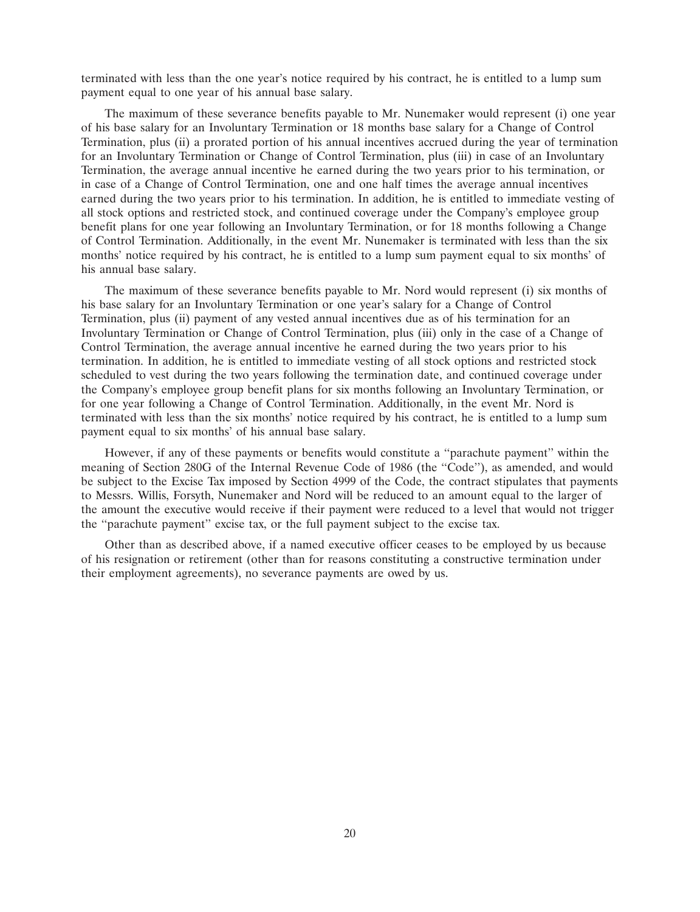terminated with less than the one year's notice required by his contract, he is entitled to a lump sum payment equal to one year of his annual base salary.

The maximum of these severance benefits payable to Mr. Nunemaker would represent (i) one year of his base salary for an Involuntary Termination or 18 months base salary for a Change of Control Termination, plus (ii) a prorated portion of his annual incentives accrued during the year of termination for an Involuntary Termination or Change of Control Termination, plus (iii) in case of an Involuntary Termination, the average annual incentive he earned during the two years prior to his termination, or in case of a Change of Control Termination, one and one half times the average annual incentives earned during the two years prior to his termination. In addition, he is entitled to immediate vesting of all stock options and restricted stock, and continued coverage under the Company's employee group benefit plans for one year following an Involuntary Termination, or for 18 months following a Change of Control Termination. Additionally, in the event Mr. Nunemaker is terminated with less than the six months' notice required by his contract, he is entitled to a lump sum payment equal to six months' of his annual base salary.

The maximum of these severance benefits payable to Mr. Nord would represent (i) six months of his base salary for an Involuntary Termination or one year's salary for a Change of Control Termination, plus (ii) payment of any vested annual incentives due as of his termination for an Involuntary Termination or Change of Control Termination, plus (iii) only in the case of a Change of Control Termination, the average annual incentive he earned during the two years prior to his termination. In addition, he is entitled to immediate vesting of all stock options and restricted stock scheduled to vest during the two years following the termination date, and continued coverage under the Company's employee group benefit plans for six months following an Involuntary Termination, or for one year following a Change of Control Termination. Additionally, in the event Mr. Nord is terminated with less than the six months' notice required by his contract, he is entitled to a lump sum payment equal to six months' of his annual base salary.

However, if any of these payments or benefits would constitute a ''parachute payment'' within the meaning of Section 280G of the Internal Revenue Code of 1986 (the ''Code''), as amended, and would be subject to the Excise Tax imposed by Section 4999 of the Code, the contract stipulates that payments to Messrs. Willis, Forsyth, Nunemaker and Nord will be reduced to an amount equal to the larger of the amount the executive would receive if their payment were reduced to a level that would not trigger the ''parachute payment'' excise tax, or the full payment subject to the excise tax.

Other than as described above, if a named executive officer ceases to be employed by us because of his resignation or retirement (other than for reasons constituting a constructive termination under their employment agreements), no severance payments are owed by us.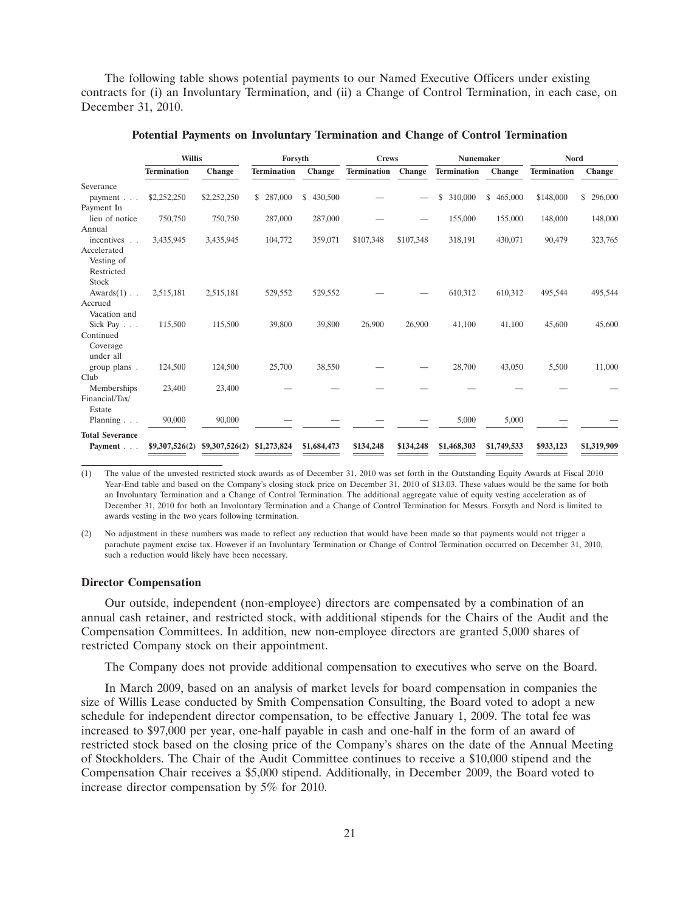The following table shows potential payments to our Named Executive Officers under existing contracts for (i) an Involuntary Termination, and (ii) a Change of Control Termination, in each case, on December 31, 2010.

|                        | <b>Willis</b>      |                | Forsyth            |               | <b>Crews</b> |                   | <b>Nunemaker</b>   |             | <b>Nord</b>        |               |
|------------------------|--------------------|----------------|--------------------|---------------|--------------|-------------------|--------------------|-------------|--------------------|---------------|
|                        | <b>Termination</b> | Change         | <b>Termination</b> | Change        | Termination  | <b>Change</b>     | <b>Termination</b> | Change      | <b>Termination</b> | <b>Change</b> |
| Severance              |                    |                |                    |               |              |                   |                    |             |                    |               |
| payment                | \$2,252,250        | \$2,252,250    | \$ 287,000         | 430,500<br>\$ |              |                   | \$<br>310,000      | \$465,000   | \$148,000          | 296,000<br>\$ |
| Payment In             |                    |                |                    |               |              |                   |                    |             |                    |               |
| lieu of notice         | 750,750            | 750,750        | 287,000            | 287,000       |              | $\hspace{0.05cm}$ | 155,000            | 155,000     | 148,000            | 148,000       |
| Annual                 |                    |                |                    |               |              |                   |                    |             |                    |               |
| incentives             | 3,435,945          | 3,435,945      | 104,772            | 359,071       | \$107,348    | \$107,348         | 318,191            | 430,071     | 90,479             | 323,765       |
| Accelerated            |                    |                |                    |               |              |                   |                    |             |                    |               |
| Vesting of             |                    |                |                    |               |              |                   |                    |             |                    |               |
| Restricted             |                    |                |                    |               |              |                   |                    |             |                    |               |
| <b>Stock</b>           |                    |                |                    |               |              |                   |                    |             |                    |               |
| $Awards(1)$ .          | 2,515,181          | 2,515,181      | 529,552            | 529,552       |              |                   | 610,312            | 610,312     | 495,544            | 495,544       |
| Accrued                |                    |                |                    |               |              |                   |                    |             |                    |               |
| Vacation and           |                    |                |                    |               |              |                   |                    |             |                    |               |
| Sick Pay               | 115,500            | 115,500        | 39,800             | 39,800        | 26,900       | 26,900            | 41,100             | 41,100      | 45,600             | 45,600        |
| Continued              |                    |                |                    |               |              |                   |                    |             |                    |               |
| Coverage               |                    |                |                    |               |              |                   |                    |             |                    |               |
| under all              |                    |                |                    |               |              |                   |                    |             |                    |               |
| group plans.           | 124,500            | 124,500        | 25,700             | 38,550        |              |                   | 28,700             | 43,050      | 5,500              | 11,000        |
| Club                   |                    |                |                    |               |              |                   |                    |             |                    |               |
| Memberships            | 23,400             | 23,400         |                    |               |              |                   |                    |             |                    |               |
| Financial/Tax/         |                    |                |                    |               |              |                   |                    |             |                    |               |
| Estate                 |                    |                |                    |               |              |                   |                    |             |                    |               |
| Planning               | 90,000             | 90,000         |                    |               |              |                   | 5,000              | 5,000       |                    |               |
| <b>Total Severance</b> |                    |                |                    |               |              |                   |                    |             |                    |               |
| Payment                | \$9,307,526(2)     | \$9,307,526(2) | \$1,273,824        | \$1,684,473   | \$134,248    | \$134,248         | \$1,468,303        | \$1,749,533 | \$933,123          | \$1,319,909   |

#### **Potential Payments on Involuntary Termination and Change of Control Termination**

(1) The value of the unvested restricted stock awards as of December 31, 2010 was set forth in the Outstanding Equity Awards at Fiscal 2010 Year-End table and based on the Company's closing stock price on December 31, 2010 of \$13.03. These values would be the same for both an Involuntary Termination and a Change of Control Termination. The additional aggregate value of equity vesting acceleration as of December 31, 2010 for both an Involuntary Termination and a Change of Control Termination for Messrs. Forsyth and Nord is limited to awards vesting in the two years following termination.

(2) No adjustment in these numbers was made to reflect any reduction that would have been made so that payments would not trigger a parachute payment excise tax. However if an Involuntary Termination or Change of Control Termination occurred on December 31, 2010, such a reduction would likely have been necessary.

#### **Director Compensation**

Our outside, independent (non-employee) directors are compensated by a combination of an annual cash retainer, and restricted stock, with additional stipends for the Chairs of the Audit and the Compensation Committees. In addition, new non-employee directors are granted 5,000 shares of restricted Company stock on their appointment.

The Company does not provide additional compensation to executives who serve on the Board.

In March 2009, based on an analysis of market levels for board compensation in companies the size of Willis Lease conducted by Smith Compensation Consulting, the Board voted to adopt a new schedule for independent director compensation, to be effective January 1, 2009. The total fee was increased to \$97,000 per year, one-half payable in cash and one-half in the form of an award of restricted stock based on the closing price of the Company's shares on the date of the Annual Meeting of Stockholders. The Chair of the Audit Committee continues to receive a \$10,000 stipend and the Compensation Chair receives a \$5,000 stipend. Additionally, in December 2009, the Board voted to increase director compensation by 5% for 2010.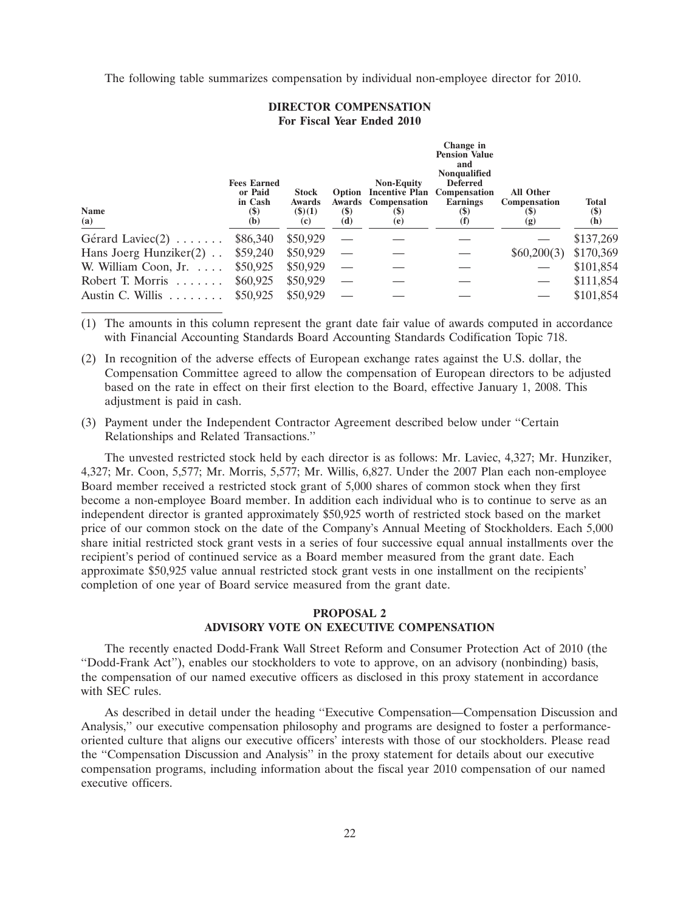The following table summarizes compensation by individual non-employee director for 2010.

### **DIRECTOR COMPENSATION For Fiscal Year Ended 2010**

| <b>Name</b><br>(a)               | <b>Fees Earned</b><br>or Paid<br>in Cash<br>$\left( \text{\$}\right)$<br>(b) | <b>Stock</b><br><b>Awards</b><br>$($ \$ $)(1)$<br>(c) | $\left( \mathbb{S}\right)$<br>(d) | <b>Non-Equity</b><br>Option Incentive Plan Compensation<br>Awards Compensation<br><b>(\$)</b><br>(e) | Change in<br><b>Pension Value</b><br>and<br><b>Nonqualified</b><br><b>Deferred</b><br><b>Earnings</b><br>$\left( \mathbf{S}\right)$<br>(I) | <b>All Other</b><br><b>Compensation</b><br>(\$)<br>(g) | <b>Total</b><br>$\left( \text{\$}\right)$<br>(h) |
|----------------------------------|------------------------------------------------------------------------------|-------------------------------------------------------|-----------------------------------|------------------------------------------------------------------------------------------------------|--------------------------------------------------------------------------------------------------------------------------------------------|--------------------------------------------------------|--------------------------------------------------|
| Gérard Laviec $(2)$              | \$86,340                                                                     | \$50,929                                              |                                   |                                                                                                      |                                                                                                                                            |                                                        | \$137,269                                        |
| Hans Joerg Hunziker $(2)$        | \$59,240                                                                     | \$50,929                                              |                                   |                                                                                                      |                                                                                                                                            | \$60,200(3)                                            | \$170,369                                        |
| W. William Coon, Jr.             | \$50,925                                                                     | \$50,929                                              |                                   |                                                                                                      |                                                                                                                                            |                                                        | \$101,854                                        |
| Robert T. Morris                 | \$60,925                                                                     | \$50,929                                              |                                   |                                                                                                      |                                                                                                                                            |                                                        | \$111,854                                        |
| Austin C. Willis $\ldots \ldots$ | \$50,925                                                                     | \$50,929                                              |                                   |                                                                                                      |                                                                                                                                            |                                                        | \$101,854                                        |

(1) The amounts in this column represent the grant date fair value of awards computed in accordance with Financial Accounting Standards Board Accounting Standards Codification Topic 718.

- (2) In recognition of the adverse effects of European exchange rates against the U.S. dollar, the Compensation Committee agreed to allow the compensation of European directors to be adjusted based on the rate in effect on their first election to the Board, effective January 1, 2008. This adjustment is paid in cash.
- (3) Payment under the Independent Contractor Agreement described below under ''Certain Relationships and Related Transactions.''

The unvested restricted stock held by each director is as follows: Mr. Laviec, 4,327; Mr. Hunziker, 4,327; Mr. Coon, 5,577; Mr. Morris, 5,577; Mr. Willis, 6,827. Under the 2007 Plan each non-employee Board member received a restricted stock grant of 5,000 shares of common stock when they first become a non-employee Board member. In addition each individual who is to continue to serve as an independent director is granted approximately \$50,925 worth of restricted stock based on the market price of our common stock on the date of the Company's Annual Meeting of Stockholders. Each 5,000 share initial restricted stock grant vests in a series of four successive equal annual installments over the recipient's period of continued service as a Board member measured from the grant date. Each approximate \$50,925 value annual restricted stock grant vests in one installment on the recipients' completion of one year of Board service measured from the grant date.

# **PROPOSAL 2 ADVISORY VOTE ON EXECUTIVE COMPENSATION**

The recently enacted Dodd-Frank Wall Street Reform and Consumer Protection Act of 2010 (the ''Dodd-Frank Act''), enables our stockholders to vote to approve, on an advisory (nonbinding) basis, the compensation of our named executive officers as disclosed in this proxy statement in accordance with SEC rules.

As described in detail under the heading ''Executive Compensation—Compensation Discussion and Analysis,'' our executive compensation philosophy and programs are designed to foster a performanceoriented culture that aligns our executive officers' interests with those of our stockholders. Please read the ''Compensation Discussion and Analysis'' in the proxy statement for details about our executive compensation programs, including information about the fiscal year 2010 compensation of our named executive officers.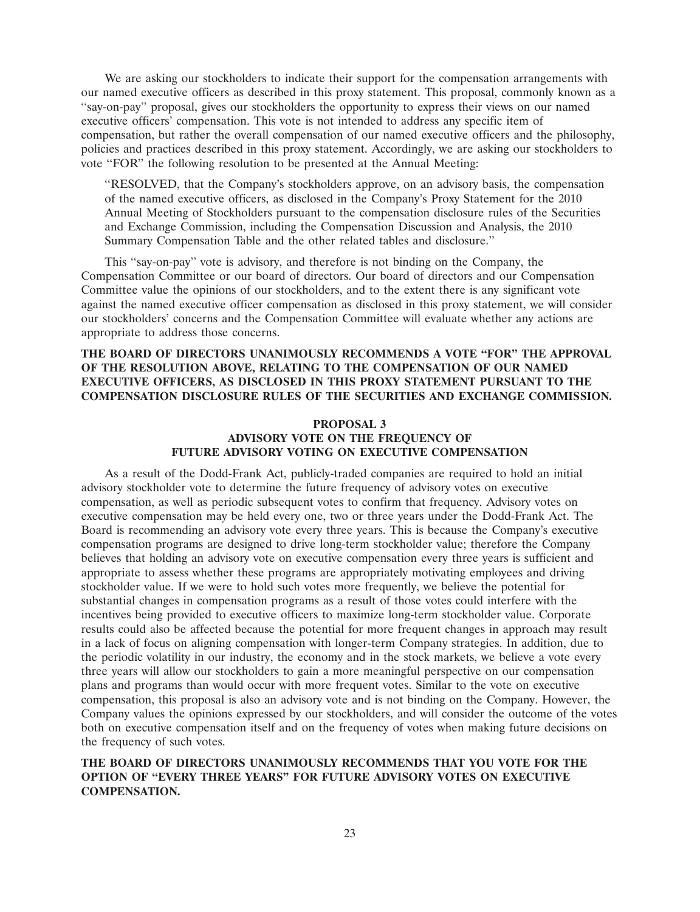We are asking our stockholders to indicate their support for the compensation arrangements with our named executive officers as described in this proxy statement. This proposal, commonly known as a ''say-on-pay'' proposal, gives our stockholders the opportunity to express their views on our named executive officers' compensation. This vote is not intended to address any specific item of compensation, but rather the overall compensation of our named executive officers and the philosophy, policies and practices described in this proxy statement. Accordingly, we are asking our stockholders to vote ''FOR'' the following resolution to be presented at the Annual Meeting:

''RESOLVED, that the Company's stockholders approve, on an advisory basis, the compensation of the named executive officers, as disclosed in the Company's Proxy Statement for the 2010 Annual Meeting of Stockholders pursuant to the compensation disclosure rules of the Securities and Exchange Commission, including the Compensation Discussion and Analysis, the 2010 Summary Compensation Table and the other related tables and disclosure.''

This ''say-on-pay'' vote is advisory, and therefore is not binding on the Company, the Compensation Committee or our board of directors. Our board of directors and our Compensation Committee value the opinions of our stockholders, and to the extent there is any significant vote against the named executive officer compensation as disclosed in this proxy statement, we will consider our stockholders' concerns and the Compensation Committee will evaluate whether any actions are appropriate to address those concerns.

# **THE BOARD OF DIRECTORS UNANIMOUSLY RECOMMENDS A VOTE ''FOR'' THE APPROVAL OF THE RESOLUTION ABOVE, RELATING TO THE COMPENSATION OF OUR NAMED EXECUTIVE OFFICERS, AS DISCLOSED IN THIS PROXY STATEMENT PURSUANT TO THE COMPENSATION DISCLOSURE RULES OF THE SECURITIES AND EXCHANGE COMMISSION.**

# **PROPOSAL 3 ADVISORY VOTE ON THE FREQUENCY OF FUTURE ADVISORY VOTING ON EXECUTIVE COMPENSATION**

As a result of the Dodd-Frank Act, publicly-traded companies are required to hold an initial advisory stockholder vote to determine the future frequency of advisory votes on executive compensation, as well as periodic subsequent votes to confirm that frequency. Advisory votes on executive compensation may be held every one, two or three years under the Dodd-Frank Act. The Board is recommending an advisory vote every three years. This is because the Company's executive compensation programs are designed to drive long-term stockholder value; therefore the Company believes that holding an advisory vote on executive compensation every three years is sufficient and appropriate to assess whether these programs are appropriately motivating employees and driving stockholder value. If we were to hold such votes more frequently, we believe the potential for substantial changes in compensation programs as a result of those votes could interfere with the incentives being provided to executive officers to maximize long-term stockholder value. Corporate results could also be affected because the potential for more frequent changes in approach may result in a lack of focus on aligning compensation with longer-term Company strategies. In addition, due to the periodic volatility in our industry, the economy and in the stock markets, we believe a vote every three years will allow our stockholders to gain a more meaningful perspective on our compensation plans and programs than would occur with more frequent votes. Similar to the vote on executive compensation, this proposal is also an advisory vote and is not binding on the Company. However, the Company values the opinions expressed by our stockholders, and will consider the outcome of the votes both on executive compensation itself and on the frequency of votes when making future decisions on the frequency of such votes.

# **THE BOARD OF DIRECTORS UNANIMOUSLY RECOMMENDS THAT YOU VOTE FOR THE OPTION OF ''EVERY THREE YEARS'' FOR FUTURE ADVISORY VOTES ON EXECUTIVE COMPENSATION.**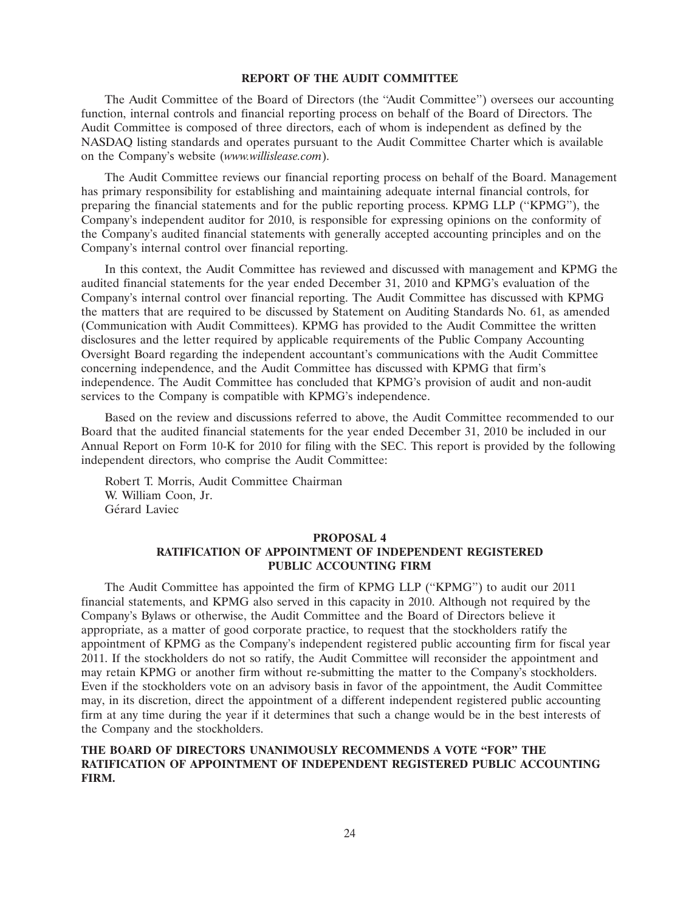#### **REPORT OF THE AUDIT COMMITTEE**

The Audit Committee of the Board of Directors (the ''Audit Committee'') oversees our accounting function, internal controls and financial reporting process on behalf of the Board of Directors. The Audit Committee is composed of three directors, each of whom is independent as defined by the NASDAQ listing standards and operates pursuant to the Audit Committee Charter which is available on the Company's website (*www.willislease.com*).

The Audit Committee reviews our financial reporting process on behalf of the Board. Management has primary responsibility for establishing and maintaining adequate internal financial controls, for preparing the financial statements and for the public reporting process. KPMG LLP (''KPMG''), the Company's independent auditor for 2010, is responsible for expressing opinions on the conformity of the Company's audited financial statements with generally accepted accounting principles and on the Company's internal control over financial reporting.

In this context, the Audit Committee has reviewed and discussed with management and KPMG the audited financial statements for the year ended December 31, 2010 and KPMG's evaluation of the Company's internal control over financial reporting. The Audit Committee has discussed with KPMG the matters that are required to be discussed by Statement on Auditing Standards No. 61, as amended (Communication with Audit Committees). KPMG has provided to the Audit Committee the written disclosures and the letter required by applicable requirements of the Public Company Accounting Oversight Board regarding the independent accountant's communications with the Audit Committee concerning independence, and the Audit Committee has discussed with KPMG that firm's independence. The Audit Committee has concluded that KPMG's provision of audit and non-audit services to the Company is compatible with KPMG's independence.

Based on the review and discussions referred to above, the Audit Committee recommended to our Board that the audited financial statements for the year ended December 31, 2010 be included in our Annual Report on Form 10-K for 2010 for filing with the SEC. This report is provided by the following independent directors, who comprise the Audit Committee:

Robert T. Morris, Audit Committee Chairman W. William Coon, Jr. Gérard Laviec

### **PROPOSAL 4**

# **RATIFICATION OF APPOINTMENT OF INDEPENDENT REGISTERED PUBLIC ACCOUNTING FIRM**

The Audit Committee has appointed the firm of KPMG LLP (''KPMG'') to audit our 2011 financial statements, and KPMG also served in this capacity in 2010. Although not required by the Company's Bylaws or otherwise, the Audit Committee and the Board of Directors believe it appropriate, as a matter of good corporate practice, to request that the stockholders ratify the appointment of KPMG as the Company's independent registered public accounting firm for fiscal year 2011. If the stockholders do not so ratify, the Audit Committee will reconsider the appointment and may retain KPMG or another firm without re-submitting the matter to the Company's stockholders. Even if the stockholders vote on an advisory basis in favor of the appointment, the Audit Committee may, in its discretion, direct the appointment of a different independent registered public accounting firm at any time during the year if it determines that such a change would be in the best interests of the Company and the stockholders.

# **THE BOARD OF DIRECTORS UNANIMOUSLY RECOMMENDS A VOTE ''FOR'' THE RATIFICATION OF APPOINTMENT OF INDEPENDENT REGISTERED PUBLIC ACCOUNTING FIRM.**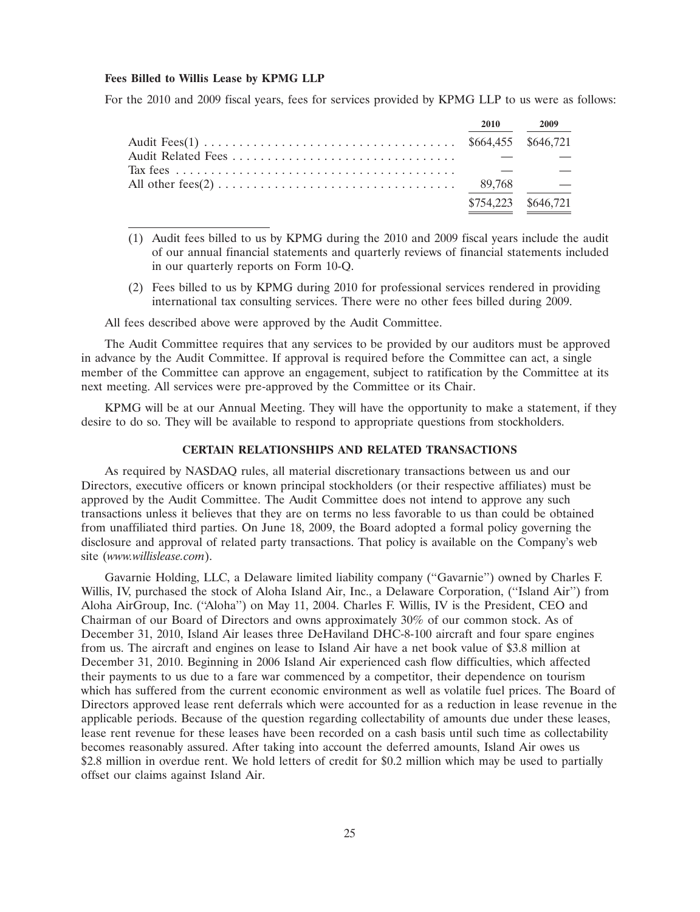#### **Fees Billed to Willis Lease by KPMG LLP**

For the 2010 and 2009 fiscal years, fees for services provided by KPMG LLP to us were as follows:

|  | 2010 2009           |
|--|---------------------|
|  |                     |
|  |                     |
|  |                     |
|  |                     |
|  | \$754,223 \$646,721 |

- (1) Audit fees billed to us by KPMG during the 2010 and 2009 fiscal years include the audit of our annual financial statements and quarterly reviews of financial statements included in our quarterly reports on Form 10-Q.
- (2) Fees billed to us by KPMG during 2010 for professional services rendered in providing international tax consulting services. There were no other fees billed during 2009.

All fees described above were approved by the Audit Committee.

The Audit Committee requires that any services to be provided by our auditors must be approved in advance by the Audit Committee. If approval is required before the Committee can act, a single member of the Committee can approve an engagement, subject to ratification by the Committee at its next meeting. All services were pre-approved by the Committee or its Chair.

KPMG will be at our Annual Meeting. They will have the opportunity to make a statement, if they desire to do so. They will be available to respond to appropriate questions from stockholders.

# **CERTAIN RELATIONSHIPS AND RELATED TRANSACTIONS**

As required by NASDAQ rules, all material discretionary transactions between us and our Directors, executive officers or known principal stockholders (or their respective affiliates) must be approved by the Audit Committee. The Audit Committee does not intend to approve any such transactions unless it believes that they are on terms no less favorable to us than could be obtained from unaffiliated third parties. On June 18, 2009, the Board adopted a formal policy governing the disclosure and approval of related party transactions. That policy is available on the Company's web site (*www.willislease.com*).

Gavarnie Holding, LLC, a Delaware limited liability company (''Gavarnie'') owned by Charles F. Willis, IV, purchased the stock of Aloha Island Air, Inc., a Delaware Corporation, (''Island Air'') from Aloha AirGroup, Inc. (''Aloha'') on May 11, 2004. Charles F. Willis, IV is the President, CEO and Chairman of our Board of Directors and owns approximately 30% of our common stock. As of December 31, 2010, Island Air leases three DeHaviland DHC-8-100 aircraft and four spare engines from us. The aircraft and engines on lease to Island Air have a net book value of \$3.8 million at December 31, 2010. Beginning in 2006 Island Air experienced cash flow difficulties, which affected their payments to us due to a fare war commenced by a competitor, their dependence on tourism which has suffered from the current economic environment as well as volatile fuel prices. The Board of Directors approved lease rent deferrals which were accounted for as a reduction in lease revenue in the applicable periods. Because of the question regarding collectability of amounts due under these leases, lease rent revenue for these leases have been recorded on a cash basis until such time as collectability becomes reasonably assured. After taking into account the deferred amounts, Island Air owes us \$2.8 million in overdue rent. We hold letters of credit for \$0.2 million which may be used to partially offset our claims against Island Air.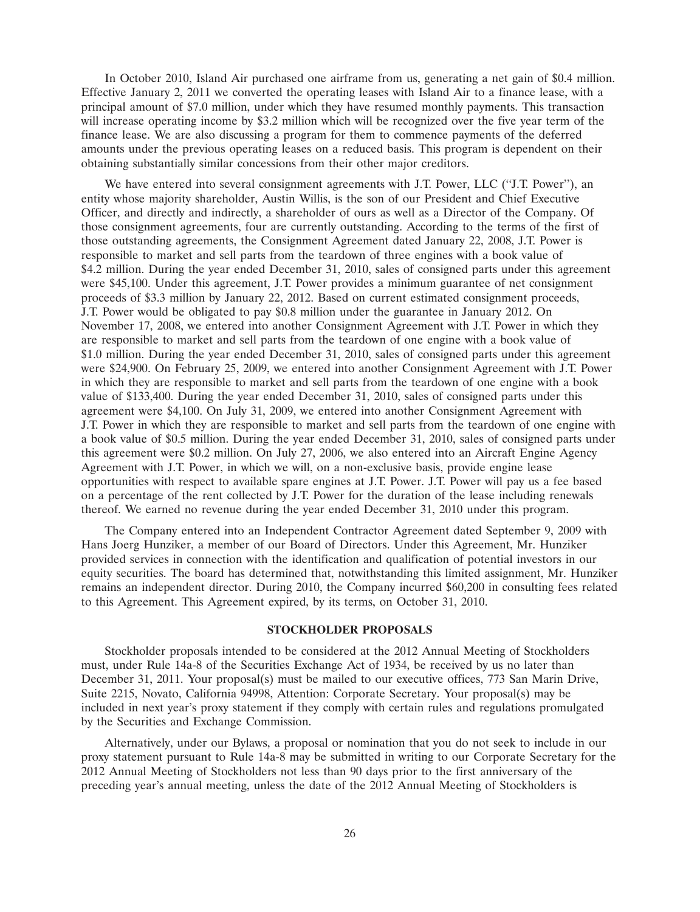In October 2010, Island Air purchased one airframe from us, generating a net gain of \$0.4 million. Effective January 2, 2011 we converted the operating leases with Island Air to a finance lease, with a principal amount of \$7.0 million, under which they have resumed monthly payments. This transaction will increase operating income by \$3.2 million which will be recognized over the five year term of the finance lease. We are also discussing a program for them to commence payments of the deferred amounts under the previous operating leases on a reduced basis. This program is dependent on their obtaining substantially similar concessions from their other major creditors.

We have entered into several consignment agreements with J.T. Power, LLC ("J.T. Power"), an entity whose majority shareholder, Austin Willis, is the son of our President and Chief Executive Officer, and directly and indirectly, a shareholder of ours as well as a Director of the Company. Of those consignment agreements, four are currently outstanding. According to the terms of the first of those outstanding agreements, the Consignment Agreement dated January 22, 2008, J.T. Power is responsible to market and sell parts from the teardown of three engines with a book value of \$4.2 million. During the year ended December 31, 2010, sales of consigned parts under this agreement were \$45,100. Under this agreement, J.T. Power provides a minimum guarantee of net consignment proceeds of \$3.3 million by January 22, 2012. Based on current estimated consignment proceeds, J.T. Power would be obligated to pay \$0.8 million under the guarantee in January 2012. On November 17, 2008, we entered into another Consignment Agreement with J.T. Power in which they are responsible to market and sell parts from the teardown of one engine with a book value of \$1.0 million. During the year ended December 31, 2010, sales of consigned parts under this agreement were \$24,900. On February 25, 2009, we entered into another Consignment Agreement with J.T. Power in which they are responsible to market and sell parts from the teardown of one engine with a book value of \$133,400. During the year ended December 31, 2010, sales of consigned parts under this agreement were \$4,100. On July 31, 2009, we entered into another Consignment Agreement with J.T. Power in which they are responsible to market and sell parts from the teardown of one engine with a book value of \$0.5 million. During the year ended December 31, 2010, sales of consigned parts under this agreement were \$0.2 million. On July 27, 2006, we also entered into an Aircraft Engine Agency Agreement with J.T. Power, in which we will, on a non-exclusive basis, provide engine lease opportunities with respect to available spare engines at J.T. Power. J.T. Power will pay us a fee based on a percentage of the rent collected by J.T. Power for the duration of the lease including renewals thereof. We earned no revenue during the year ended December 31, 2010 under this program.

The Company entered into an Independent Contractor Agreement dated September 9, 2009 with Hans Joerg Hunziker, a member of our Board of Directors. Under this Agreement, Mr. Hunziker provided services in connection with the identification and qualification of potential investors in our equity securities. The board has determined that, notwithstanding this limited assignment, Mr. Hunziker remains an independent director. During 2010, the Company incurred \$60,200 in consulting fees related to this Agreement. This Agreement expired, by its terms, on October 31, 2010.

# **STOCKHOLDER PROPOSALS**

Stockholder proposals intended to be considered at the 2012 Annual Meeting of Stockholders must, under Rule 14a-8 of the Securities Exchange Act of 1934, be received by us no later than December 31, 2011. Your proposal(s) must be mailed to our executive offices, 773 San Marin Drive, Suite 2215, Novato, California 94998, Attention: Corporate Secretary. Your proposal(s) may be included in next year's proxy statement if they comply with certain rules and regulations promulgated by the Securities and Exchange Commission.

Alternatively, under our Bylaws, a proposal or nomination that you do not seek to include in our proxy statement pursuant to Rule 14a-8 may be submitted in writing to our Corporate Secretary for the 2012 Annual Meeting of Stockholders not less than 90 days prior to the first anniversary of the preceding year's annual meeting, unless the date of the 2012 Annual Meeting of Stockholders is